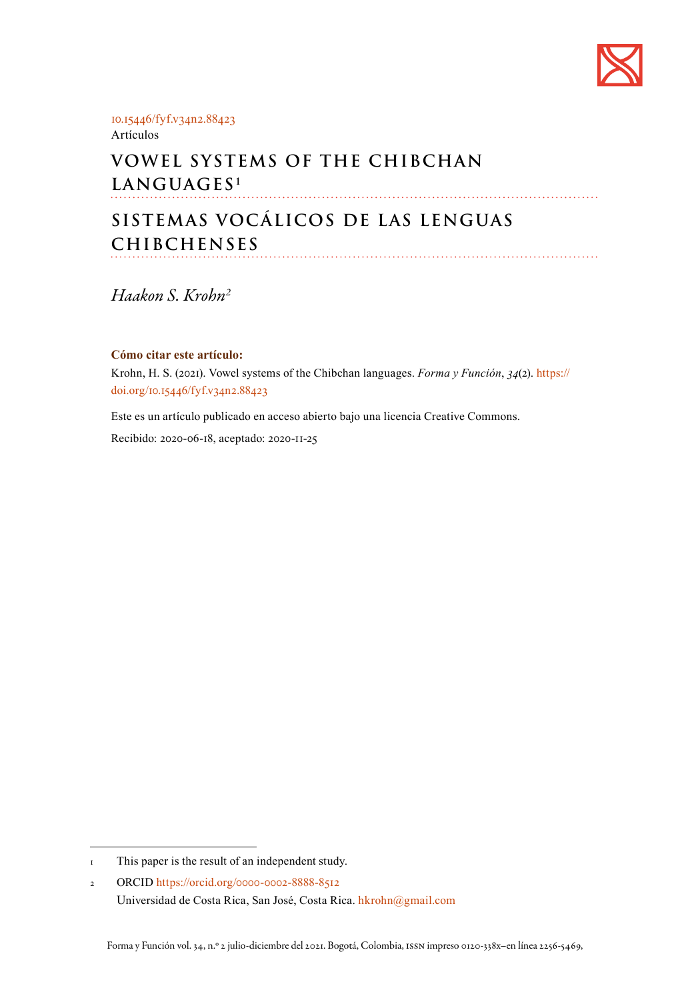

[10.15446/fyf.v34n2.88423](https://doi.org/10.15446/fyf.v34n2.88423)

Artículos

## **VOWEL SYSTEMS OF THE CHIBCHAN LANGUAGES <sup>1</sup>**

# **SISTEMAS VOCÁLICOS DE LAS LENGUAS CHIBCHENSES**

*Haakon S. Krohn2*

#### **Cómo citar este artículo:**

Krohn, H. S. (2021). Vowel systems of the Chibchan languages. *Forma y Función*, *34*(2). [https://](https://doi.org/10.15446/fyf.v34n2.88423) [doi.org/10.15446/fyf.v34n2.88423](https://doi.org/10.15446/fyf.v34n2.88423)

Este es un artículo publicado en acceso abierto bajo una licencia Creative Commons.

Recibido: 2020-06-18, aceptado: 2020-11-25

<sup>1</sup> This paper is the result of an independent study.

<sup>2</sup> ORCID<https://orcid.org/0000-0002-8888-8512> Universidad de Costa Rica, San José, Costa Rica. [hkrohn@gmail.com](mailto:hkrohn@gmail.com)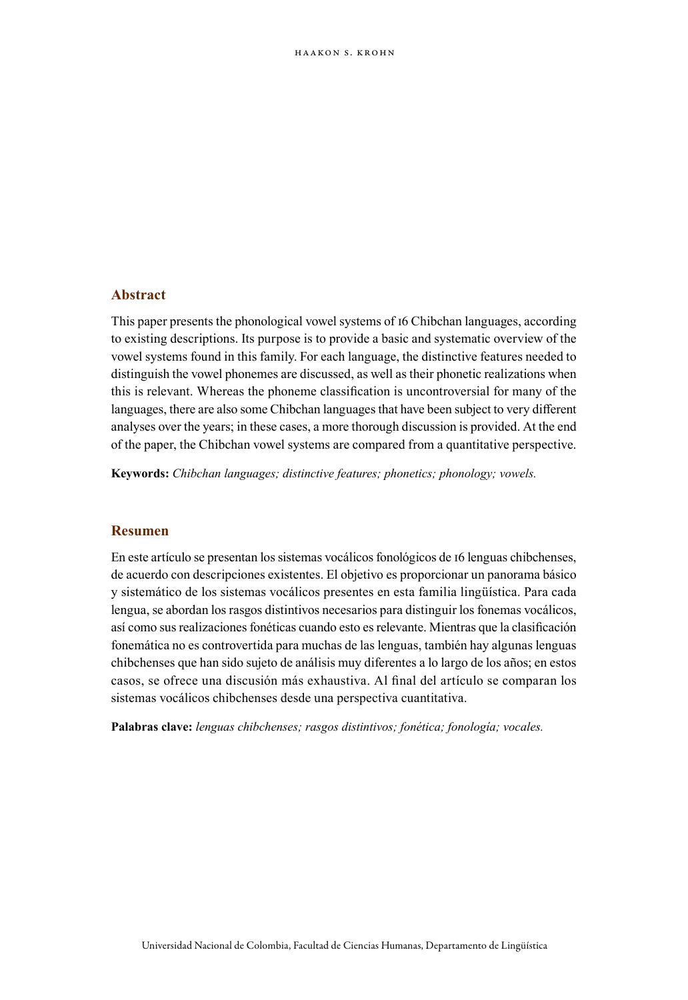#### **Abstract**

This paper presents the phonological vowel systems of 16 Chibchan languages, according to existing descriptions. Its purpose is to provide a basic and systematic overview of the vowel systems found in this family. For each language, the distinctive features needed to distinguish the vowel phonemes are discussed, as well as their phonetic realizations when this is relevant. Whereas the phoneme classification is uncontroversial for many of the languages, there are also some Chibchan languages that have been subject to very different analyses over the years; in these cases, a more thorough discussion is provided. At the end of the paper, the Chibchan vowel systems are compared from a quantitative perspective.

**Keywords:** *Chibchan languages; distinctive features; phonetics; phonology; vowels.*

#### **Resumen**

En este artículo se presentan los sistemas vocálicos fonológicos de 16 lenguas chibchenses, de acuerdo con descripciones existentes. El objetivo es proporcionar un panorama básico y sistemático de los sistemas vocálicos presentes en esta familia lingüística. Para cada lengua, se abordan los rasgos distintivos necesarios para distinguir los fonemas vocálicos, así como sus realizaciones fonéticas cuando esto es relevante. Mientras que la clasificación fonemática no es controvertida para muchas de las lenguas, también hay algunas lenguas chibchenses que han sido sujeto de análisis muy diferentes a lo largo de los años; en estos casos, se ofrece una discusión más exhaustiva. Al final del artículo se comparan los sistemas vocálicos chibchenses desde una perspectiva cuantitativa.

**Palabras clave:** *lenguas chibchenses; rasgos distintivos; fonética; fonología; vocales.*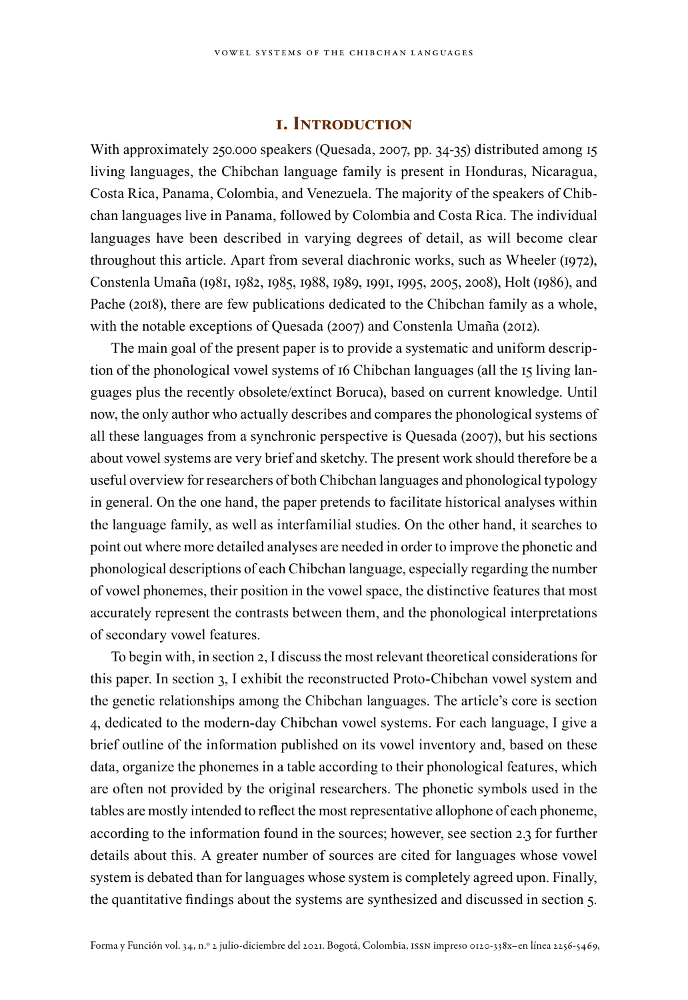## **1. Introduction**

With approximately 250.000 speakers (Quesada, 2007, pp. 34-35) distributed among 15 living languages, the Chibchan language family is present in Honduras, Nicaragua, Costa Rica, Panama, Colombia, and Venezuela. The majority of the speakers of Chibchan languages live in Panama, followed by Colombia and Costa Rica. The individual languages have been described in varying degrees of detail, as will become clear throughout this article. Apart from several diachronic works, such as Wheeler (1972), Constenla Umaña (1981, 1982, 1985, 1988, 1989, 1991, 1995, 2005, 2008), Holt (1986), and Pache (2018), there are few publications dedicated to the Chibchan family as a whole, with the notable exceptions of Quesada (2007) and Constenla Umaña (2012).

The main goal of the present paper is to provide a systematic and uniform description of the phonological vowel systems of 16 Chibchan languages (all the 15 living languages plus the recently obsolete/extinct Boruca), based on current knowledge. Until now, the only author who actually describes and compares the phonological systems of all these languages from a synchronic perspective is Quesada (2007), but his sections about vowel systems are very brief and sketchy. The present work should therefore be a useful overview for researchers of both Chibchan languages and phonological typology in general. On the one hand, the paper pretends to facilitate historical analyses within the language family, as well as interfamilial studies. On the other hand, it searches to point out where more detailed analyses are needed in order to improve the phonetic and phonological descriptions of each Chibchan language, especially regarding the number of vowel phonemes, their position in the vowel space, the distinctive features that most accurately represent the contrasts between them, and the phonological interpretations of secondary vowel features.

To begin with, in section 2, I discuss the most relevant theoretical considerations for this paper. In section 3, I exhibit the reconstructed Proto-Chibchan vowel system and the genetic relationships among the Chibchan languages. The article's core is section 4, dedicated to the modern-day Chibchan vowel systems. For each language, I give a brief outline of the information published on its vowel inventory and, based on these data, organize the phonemes in a table according to their phonological features, which are often not provided by the original researchers. The phonetic symbols used in the tables are mostly intended to reflect the most representative allophone of each phoneme, according to the information found in the sources; however, see section 2.3 for further details about this. A greater number of sources are cited for languages whose vowel system is debated than for languages whose system is completely agreed upon. Finally, the quantitative findings about the systems are synthesized and discussed in section 5.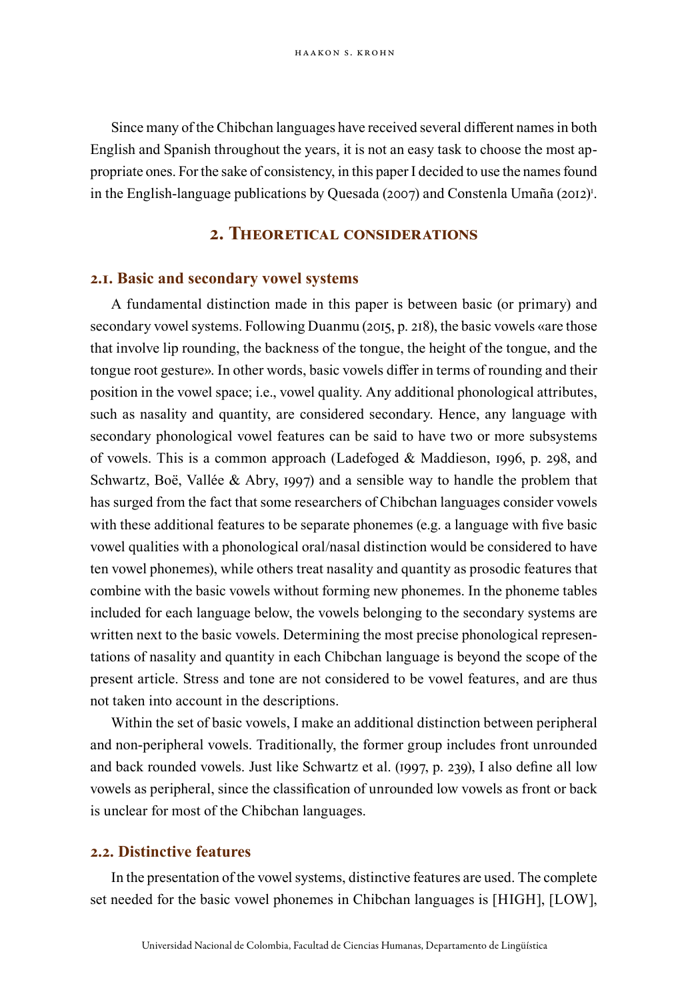Since many of the Chibchan languages have received several different names in both English and Spanish throughout the years, it is not an easy task to choose the most appropriate ones. For the sake of consistency, in this paper I decided to use the names found in the English-language publications by Quesada (2007) and Constenla Umaña (2012)<sup>1</sup>.

## **2. Theoretical considerations**

#### **2.1. Basic and secondary vowel systems**

A fundamental distinction made in this paper is between basic (or primary) and secondary vowel systems. Following Duanmu (2015, p. 218), the basic vowels «are those that involve lip rounding, the backness of the tongue, the height of the tongue, and the tongue root gesture». In other words, basic vowels differ in terms of rounding and their position in the vowel space; i.e., vowel quality. Any additional phonological attributes, such as nasality and quantity, are considered secondary. Hence, any language with secondary phonological vowel features can be said to have two or more subsystems of vowels. This is a common approach (Ladefoged & Maddieson, 1996, p. 298, and Schwartz, Boë, Vallée & Abry, 1997) and a sensible way to handle the problem that has surged from the fact that some researchers of Chibchan languages consider vowels with these additional features to be separate phonemes (e.g. a language with five basic vowel qualities with a phonological oral/nasal distinction would be considered to have ten vowel phonemes), while others treat nasality and quantity as prosodic features that combine with the basic vowels without forming new phonemes. In the phoneme tables included for each language below, the vowels belonging to the secondary systems are written next to the basic vowels. Determining the most precise phonological representations of nasality and quantity in each Chibchan language is beyond the scope of the present article. Stress and tone are not considered to be vowel features, and are thus not taken into account in the descriptions.

Within the set of basic vowels, I make an additional distinction between peripheral and non-peripheral vowels. Traditionally, the former group includes front unrounded and back rounded vowels. Just like Schwartz et al. (1997, p. 239), I also define all low vowels as peripheral, since the classification of unrounded low vowels as front or back is unclear for most of the Chibchan languages.

## **2.2. Distinctive features**

In the presentation of the vowel systems, distinctive features are used. The complete set needed for the basic vowel phonemes in Chibchan languages is [HIGH], [LOW],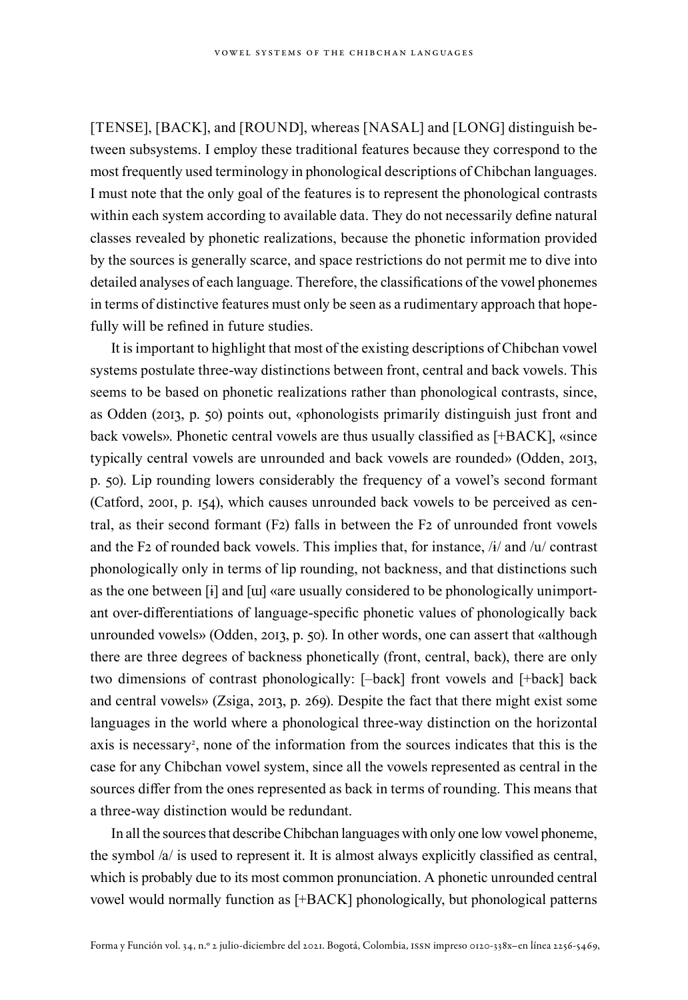[TENSE], [BACK], and [ROUND], whereas [NASAL] and [LONG] distinguish between subsystems. I employ these traditional features because they correspond to the most frequently used terminology in phonological descriptions of Chibchan languages. I must note that the only goal of the features is to represent the phonological contrasts within each system according to available data. They do not necessarily define natural classes revealed by phonetic realizations, because the phonetic information provided by the sources is generally scarce, and space restrictions do not permit me to dive into detailed analyses of each language. Therefore, the classifications of the vowel phonemes in terms of distinctive features must only be seen as a rudimentary approach that hopefully will be refined in future studies.

It is important to highlight that most of the existing descriptions of Chibchan vowel systems postulate three-way distinctions between front, central and back vowels. This seems to be based on phonetic realizations rather than phonological contrasts, since, as Odden (2013, p. 50) points out, «phonologists primarily distinguish just front and back vowels». Phonetic central vowels are thus usually classified as [+BACK], «since typically central vowels are unrounded and back vowels are rounded» (Odden, 2013, p. 50). Lip rounding lowers considerably the frequency of a vowel's second formant (Catford, 2001, p. 154), which causes unrounded back vowels to be perceived as central, as their second formant (F2) falls in between the F2 of unrounded front vowels and the F2 of rounded back vowels. This implies that, for instance, /ɨ/ and /u/ contrast phonologically only in terms of lip rounding, not backness, and that distinctions such as the one between [ɨ] and [ɯ] «are usually considered to be phonologically unimportant over-differentiations of language-specific phonetic values of phonologically back unrounded vowels» (Odden, 2013, p. 50). In other words, one can assert that «although there are three degrees of backness phonetically (front, central, back), there are only two dimensions of contrast phonologically: [–back] front vowels and [+back] back and central vowels» (Zsiga, 2013, p. 269). Despite the fact that there might exist some languages in the world where a phonological three-way distinction on the horizontal axis is necessary<sup>2</sup>, none of the information from the sources indicates that this is the case for any Chibchan vowel system, since all the vowels represented as central in the sources differ from the ones represented as back in terms of rounding. This means that a three-way distinction would be redundant.

In all the sources that describe Chibchan languages with only one low vowel phoneme, the symbol /a/ is used to represent it. It is almost always explicitly classified as central, which is probably due to its most common pronunciation. A phonetic unrounded central vowel would normally function as [+BACK] phonologically, but phonological patterns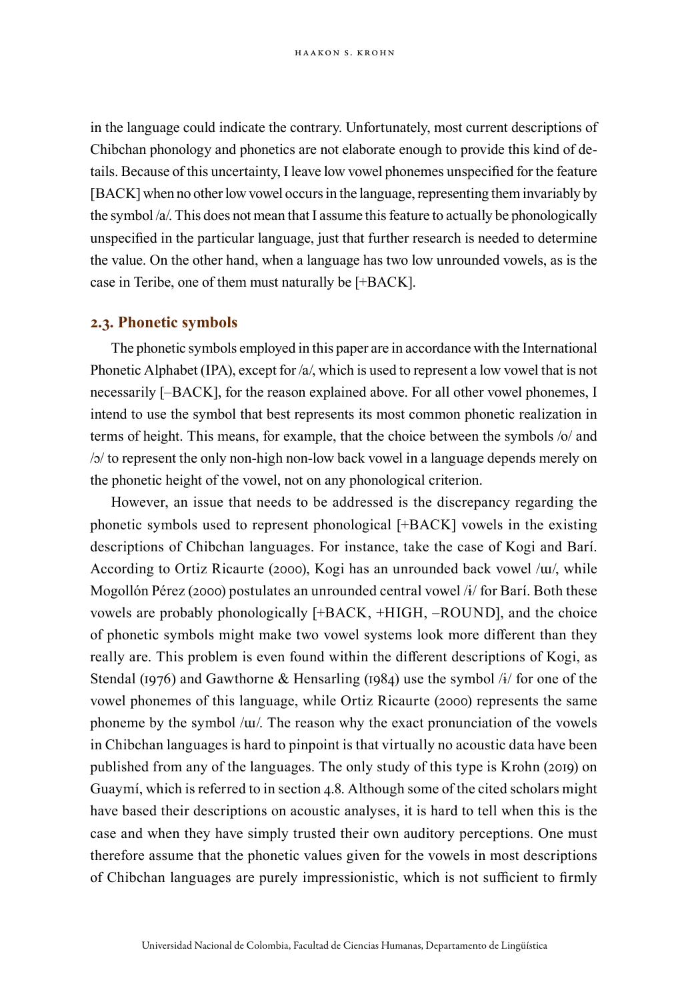in the language could indicate the contrary. Unfortunately, most current descriptions of Chibchan phonology and phonetics are not elaborate enough to provide this kind of details. Because of this uncertainty, I leave low vowel phonemes unspecified for the feature [BACK] when no other low vowel occurs in the language, representing them invariably by the symbol /a/. This does not mean that I assume this feature to actually be phonologically unspecified in the particular language, just that further research is needed to determine the value. On the other hand, when a language has two low unrounded vowels, as is the case in Teribe, one of them must naturally be [+BACK].

#### **2.3. Phonetic symbols**

The phonetic symbols employed in this paper are in accordance with the International Phonetic Alphabet (IPA), except for /a/, which is used to represent a low vowel that is not necessarily [–BACK], for the reason explained above. For all other vowel phonemes, I intend to use the symbol that best represents its most common phonetic realization in terms of height. This means, for example, that the choice between the symbols /o/ and /ɔ/ to represent the only non-high non-low back vowel in a language depends merely on the phonetic height of the vowel, not on any phonological criterion.

However, an issue that needs to be addressed is the discrepancy regarding the phonetic symbols used to represent phonological [+BACK] vowels in the existing descriptions of Chibchan languages. For instance, take the case of Kogi and Barí. According to Ortiz Ricaurte (2000), Kogi has an unrounded back vowel /ɯ/, while Mogollón Pérez (2000) postulates an unrounded central vowel /ɨ/ for Barí. Both these vowels are probably phonologically [+BACK, +HIGH, –ROUND], and the choice of phonetic symbols might make two vowel systems look more different than they really are. This problem is even found within the different descriptions of Kogi, as Stendal (1976) and Gawthorne & Hensarling (1984) use the symbol  $\frac{1}{4}$  for one of the vowel phonemes of this language, while Ortiz Ricaurte (2000) represents the same phoneme by the symbol /ɯ/. The reason why the exact pronunciation of the vowels in Chibchan languages is hard to pinpoint is that virtually no acoustic data have been published from any of the languages. The only study of this type is Krohn (2019) on Guaymí, which is referred to in section 4.8. Although some of the cited scholars might have based their descriptions on acoustic analyses, it is hard to tell when this is the case and when they have simply trusted their own auditory perceptions. One must therefore assume that the phonetic values given for the vowels in most descriptions of Chibchan languages are purely impressionistic, which is not sufficient to firmly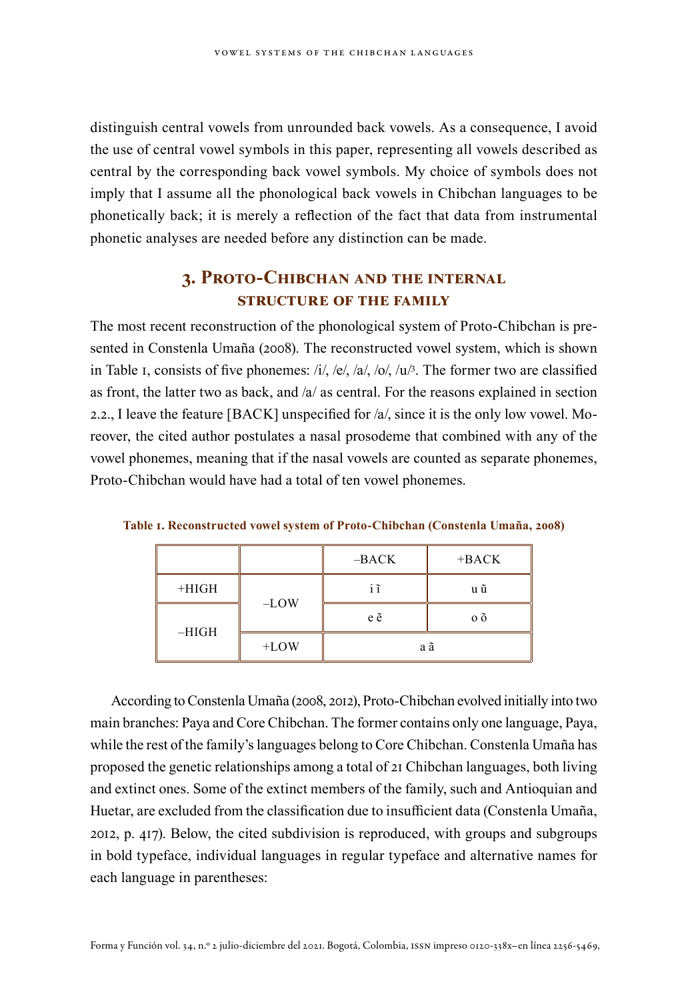distinguish central vowels from unrounded back vowels. As a consequence, I avoid the use of central vowel symbols in this paper, representing all vowels described as central by the corresponding back vowel symbols. My choice of symbols does not imply that I assume all the phonological back vowels in Chibchan languages to be phonetically back; it is merely a reflection of the fact that data from instrumental phonetic analyses are needed before any distinction can be made.

## **3. Proto-Chibchan and the internal structure of the family**

The most recent reconstruction of the phonological system of Proto-Chibchan is presented in Constenla Umaña (2008). The reconstructed vowel system, which is shown in Table 1, consists of five phonemes: /i/, /e/, /a/, /o/, /u/3 . The former two are classified as front, the latter two as back, and /a/ as central. For the reasons explained in section 2.2., I leave the feature [BACK] unspecified for /a/, since it is the only low vowel. Moreover, the cited author postulates a nasal prosodeme that combined with any of the vowel phonemes, meaning that if the nasal vowels are counted as separate phonemes, Proto-Chibchan would have had a total of ten vowel phonemes.

|         |        | $-BACK$ | $+$ BACK |
|---------|--------|---------|----------|
| $+HIGH$ |        | iĩ      | u ũ      |
| $-HIGH$ | $-LOW$ | e ẽ     | 0 õ      |
|         | $+LOW$ | аã      |          |

**Table 1. Reconstructed vowel system of Proto-Chibchan (Constenla Umaña, 2008)**

According to Constenla Umaña (2008, 2012), Proto-Chibchan evolved initially into two main branches: Paya and Core Chibchan. The former contains only one language, Paya, while the rest of the family's languages belong to Core Chibchan. Constenla Umaña has proposed the genetic relationships among a total of 21 Chibchan languages, both living and extinct ones. Some of the extinct members of the family, such and Antioquian and Huetar, are excluded from the classification due to insufficient data (Constenla Umaña, 2012, p. 417). Below, the cited subdivision is reproduced, with groups and subgroups in bold typeface, individual languages in regular typeface and alternative names for each language in parentheses: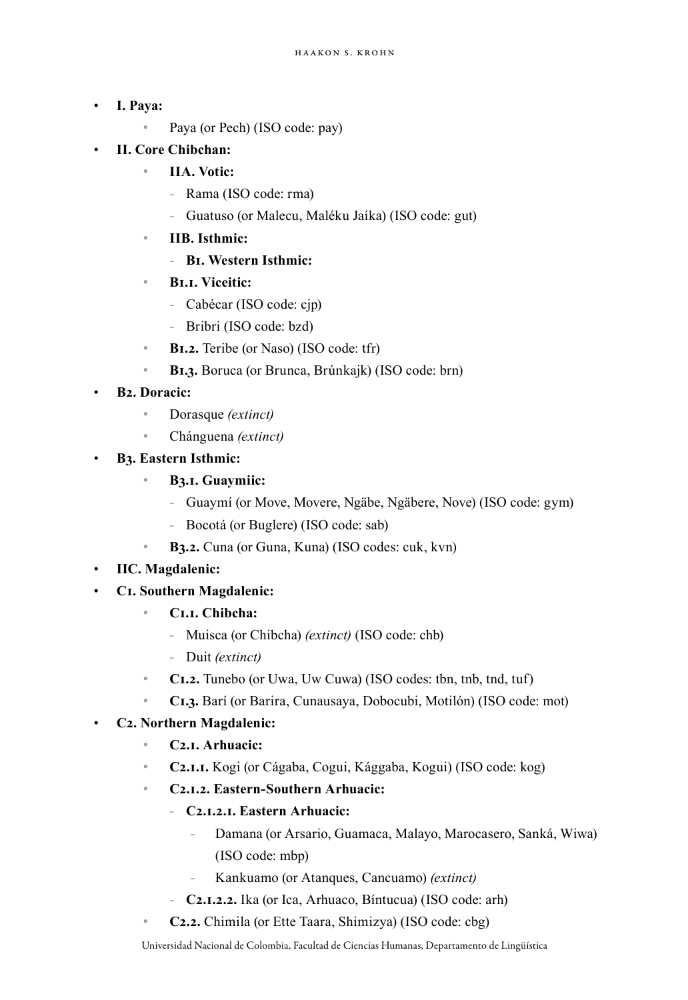- **I. Paya:**
	- Paya (or Pech) (ISO code: pay)

## • **II. Core Chibchan:**

- **IIA. Votic:**
	- Rama (ISO code: rma)
	- Guatuso (or Malecu, Maléku Jaíka) (ISO code: gut)
- **IIB. Isthmic:**
	- **B1. Western Isthmic:**
- **B1.1. Viceitic:**
	- Cabécar (ISO code: cjp)
	- Bribri (ISO code: bzd)
- **B1.2.** Teribe (or Naso) (ISO code: tfr)
- **B1.3.** Boruca (or Brunca, Brúnkajk) (ISO code: brn)
- **B2. Doracic:**
	- Dorasque *(extinct)*
	- Chánguena *(extinct)*
- **B3. Eastern Isthmic:**
	- **B3.1. Guaymiic:**
		- Guaymí (or Move, Movere, Ngäbe, Ngäbere, Nove) (ISO code: gym)
		- Bocotá (or Buglere) (ISO code: sab)
	- **B3.2.** Cuna (or Guna, Kuna) (ISO codes: cuk, kvn)
- **IIC. Magdalenic:**
- **C1. Southern Magdalenic:**
	- **C1.1. Chibcha:**
		- Muisca (or Chibcha) *(extinct)* (ISO code: chb)
		- Duit *(extinct)*
	- **C1.2.** Tunebo (or Uwa, Uw Cuwa) (ISO codes: tbn, tnb, tnd, tuf)
	- **C1.3.** Barí (or Barira, Cunausaya, Dobocubi, Motilón) (ISO code: mot)

## • **C2. Northern Magdalenic:**

- **C2.1. Arhuacic:**
- **C2.1.1.** Kogi (or Cágaba, Cogui, Kággaba, Kogui) (ISO code: kog)
- **C2.1.2. Eastern-Southern Arhuacic:**
	- **C2.1.2.1. Eastern Arhuacic:**
		- Damana (or Arsario, Guamaca, Malayo, Marocasero, Sanká, Wiwa) (ISO code: mbp)
		- Kankuamo (or Atanques, Cancuamo) *(extinct)*
	- **C2.1.2.2.** Ika (or Ica, Arhuaco, Bíntucua) (ISO code: arh)
- **C2.2.** Chimila (or Ette Taara, Shimizya) (ISO code: cbg)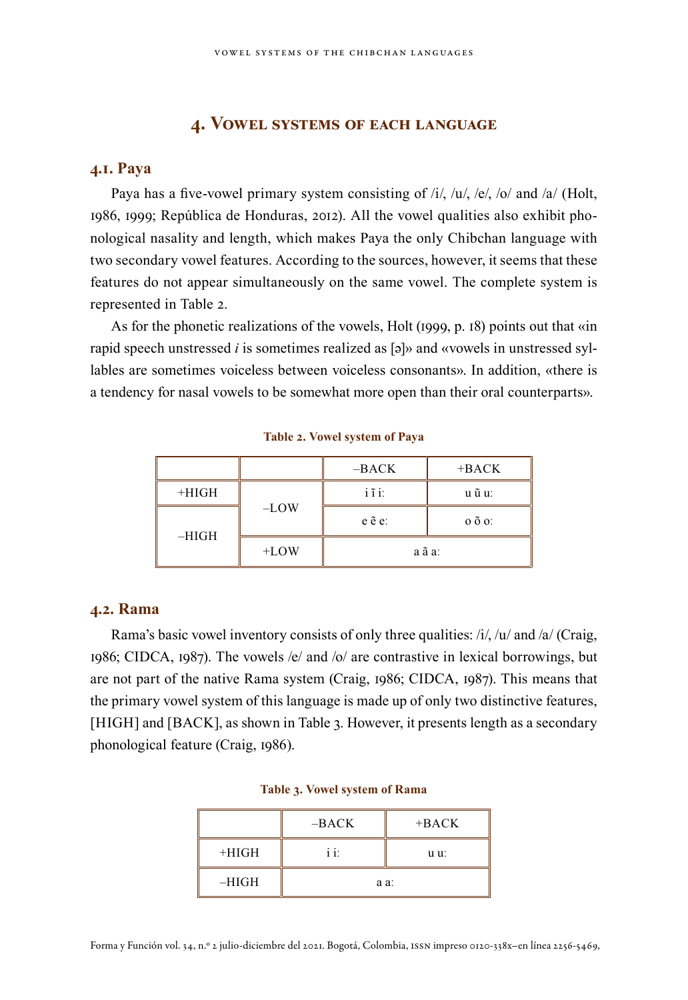## **4. Vowel systems of each language**

#### **4.1. Paya**

Paya has a five-vowel primary system consisting of  $/1/$ ,  $/$ u/,  $/$ e/,  $/$ o/ and  $/$ a/ (Holt, 1986, 1999; República de Honduras, 2012). All the vowel qualities also exhibit phonological nasality and length, which makes Paya the only Chibchan language with two secondary vowel features. According to the sources, however, it seems that these features do not appear simultaneously on the same vowel. The complete system is represented in Table 2.

As for the phonetic realizations of the vowels, Holt (1999, p. 18) points out that «in rapid speech unstressed *i* is sometimes realized as [ə]» and «vowels in unstressed syllables are sometimes voiceless between voiceless consonants». In addition, «there is a tendency for nasal vowels to be somewhat more open than their oral counterparts».

|         |        | $-BACK$         | $+$ BACK        |
|---------|--------|-----------------|-----------------|
| $+HIGH$ |        | $i$ $i$ $i$ :   | u ũ u:          |
| $-HIGH$ | $-LOW$ | $e \tilde{e} e$ | $0 \tilde{0} 0$ |
|         | $+LOW$ |                 | a ã a:          |

**Table 2. Vowel system of Paya**

#### **4.2. Rama**

Rama's basic vowel inventory consists of only three qualities:  $/i$ ,  $/u$  and  $/a$  (Craig, 1986; CIDCA, 1987). The vowels /e/ and /o/ are contrastive in lexical borrowings, but are not part of the native Rama system (Craig, 1986; CIDCA, 1987). This means that the primary vowel system of this language is made up of only two distinctive features, [HIGH] and [BACK], as shown in Table 3. However, it presents length as a secondary phonological feature (Craig, 1986).

|         | $-BACK$ | $+$ BACK |  |
|---------|---------|----------|--|
| $+HIGH$ | 11.     | u u:     |  |
| $-HIGH$ | a a:    |          |  |

#### **Table 3. Vowel system of Rama**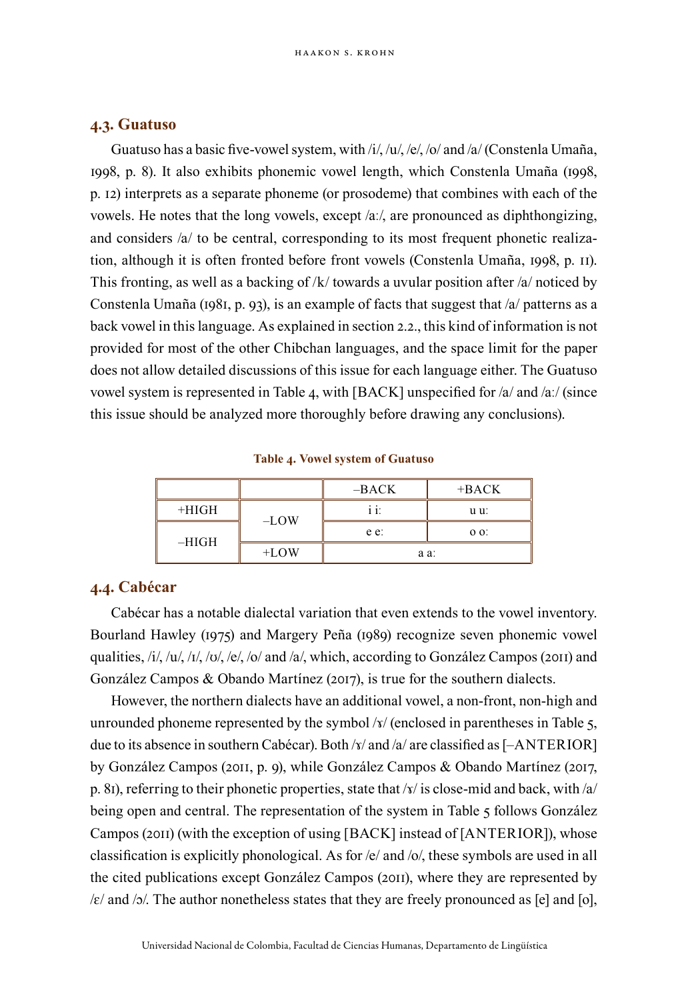## **4.3. Guatuso**

Guatuso has a basic five-vowel system, with /i/, /u/, /e/, /o/ and /a/ (Constenla Umaña, 1998, p. 8). It also exhibits phonemic vowel length, which Constenla Umaña (1998, p. 12) interprets as a separate phoneme (or prosodeme) that combines with each of the vowels. He notes that the long vowels, except /aː/, are pronounced as diphthongizing, and considers /a/ to be central, corresponding to its most frequent phonetic realization, although it is often fronted before front vowels (Constenla Umaña, 1998, p. 11). This fronting, as well as a backing of  $/k$  towards a uvular position after  $\alpha$  noticed by Constenla Umaña (1981, p. 93), is an example of facts that suggest that  $|a|$  patterns as a back vowel in this language. As explained in section 2.2., this kind of information is not provided for most of the other Chibchan languages, and the space limit for the paper does not allow detailed discussions of this issue for each language either. The Guatuso vowel system is represented in Table 4, with [BACK] unspecified for /a/ and /aː/ (since this issue should be analyzed more thoroughly before drawing any conclusions).

|         |        | $-BACK$    | $+$ BACK |
|---------|--------|------------|----------|
| $+HIGH$ |        | . .<br>11. | u u:     |
| $-HIGH$ | $-LOW$ | e e:       | $O O$ :  |
|         | $+LOW$ |            | a a:     |

### **4.4. Cabécar**

Cabécar has a notable dialectal variation that even extends to the vowel inventory. Bourland Hawley (1975) and Margery Peña (1989) recognize seven phonemic vowel qualities, /i/, /u/, /ɪ/, /ʊ/, /e/, /o/ and /a/, which, according to González Campos (2011) and González Campos & Obando Martínez (2017), is true for the southern dialects.

However, the northern dialects have an additional vowel, a non-front, non-high and unrounded phoneme represented by the symbol  $\frac{x}{1}$  (enclosed in parentheses in Table 5, due to its absence in southern Cabécar). Both /x/ and /a/ are classified as [-ANTERIOR] by González Campos (2011, p. 9), while González Campos & Obando Martínez (2017, p. 81), referring to their phonetic properties, state that /x/ is close-mid and back, with /a/ being open and central. The representation of the system in Table 5 follows González Campos (2011) (with the exception of using [BACK] instead of [ANTERIOR]), whose classification is explicitly phonological. As for /e/ and /o/, these symbols are used in all the cited publications except González Campos (2011), where they are represented by  $/ \varepsilon /$  and  $/ \circ$ . The author nonetheless states that they are freely pronounced as [e] and [o],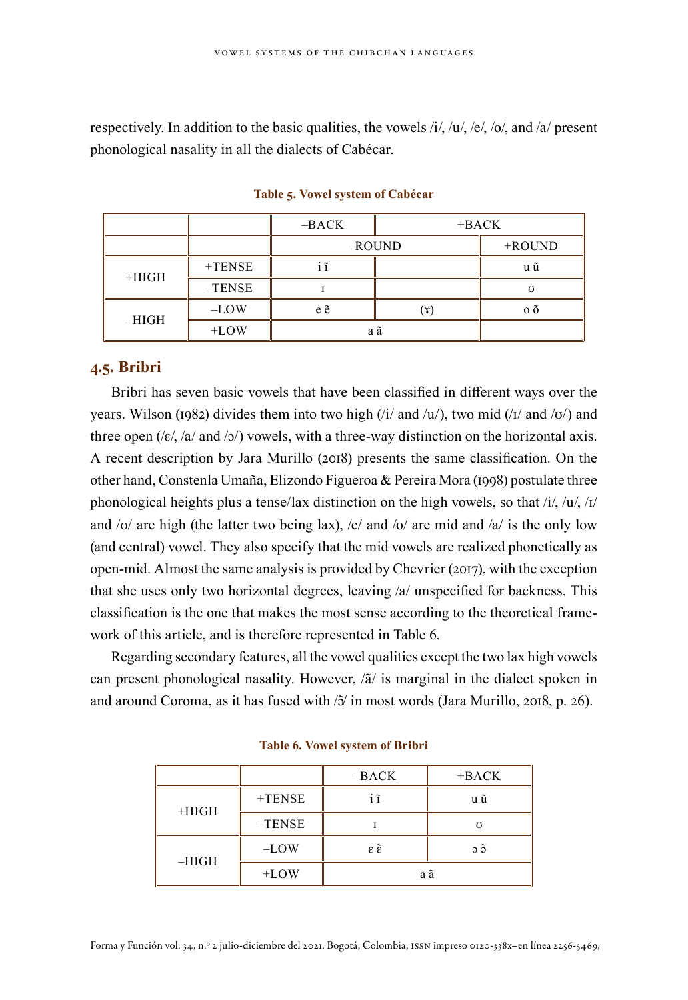respectively. In addition to the basic qualities, the vowels /i/, /u/, /e/, /o/, and /a/ present phonological nasality in all the dialects of Cabécar.

|         |          | $-BACK$   | $+$ BACK      |                |
|---------|----------|-----------|---------------|----------------|
|         |          | $-$ ROUND |               | $+$ ROUND      |
| $+HIGH$ | $+TENSE$ | iĩ        |               | u ũ            |
|         | $-TENSE$ |           |               | $\mathfrak{r}$ |
| $-HIGH$ | $-LOW$   | e ẽ       | $\mathcal{X}$ | o õ            |
|         | $+LOW$   | аã        |               |                |

**Table 5. Vowel system of Cabécar**

### **4.5. Bribri**

Bribri has seven basic vowels that have been classified in different ways over the years. Wilson (1982) divides them into two high  $(i/\text{ and }/u')$ , two mid  $(i/\text{ and }/v')$  and three open ( $\ell \varepsilon$ ),  $\lceil \frac{\varepsilon}{\varepsilon} \rceil$  and  $\lceil \frac{\varepsilon}{\varepsilon} \rceil$ ) vowels, with a three-way distinction on the horizontal axis. A recent description by Jara Murillo (2018) presents the same classification. On the other hand, Constenla Umaña, Elizondo Figueroa & Pereira Mora (1998) postulate three phonological heights plus a tense/lax distinction on the high vowels, so that /i/, /u/, /ɪ/ and / $\sigma$ / are high (the latter two being lax), /e/ and / $\sigma$ / are mid and /a/ is the only low (and central) vowel. They also specify that the mid vowels are realized phonetically as open-mid. Almost the same analysis is provided by Chevrier (2017), with the exception that she uses only two horizontal degrees, leaving /a/ unspecified for backness. This classification is the one that makes the most sense according to the theoretical framework of this article, and is therefore represented in Table 6.

Regarding secondary features, all the vowel qualities except the two lax high vowels can present phonological nasality. However, /ã/ is marginal in the dialect spoken in and around Coroma, as it has fused with  $\beta$  in most words (Jara Murillo, 2018, p. 26).

|         |                           | $-BACK$            | $+$ BACK       |
|---------|---------------------------|--------------------|----------------|
|         | $+TENSE$<br>iĩ<br>$+HIGH$ | u ũ                |                |
|         | $-TENSE$                  |                    | $\overline{1}$ |
|         | $-LOW$                    | $\tilde{\epsilon}$ | $\mathfrak{g}$ |
| $-HIGH$ | $+LOW$                    |                    | аã             |

**Table 6. Vowel system of Bribri**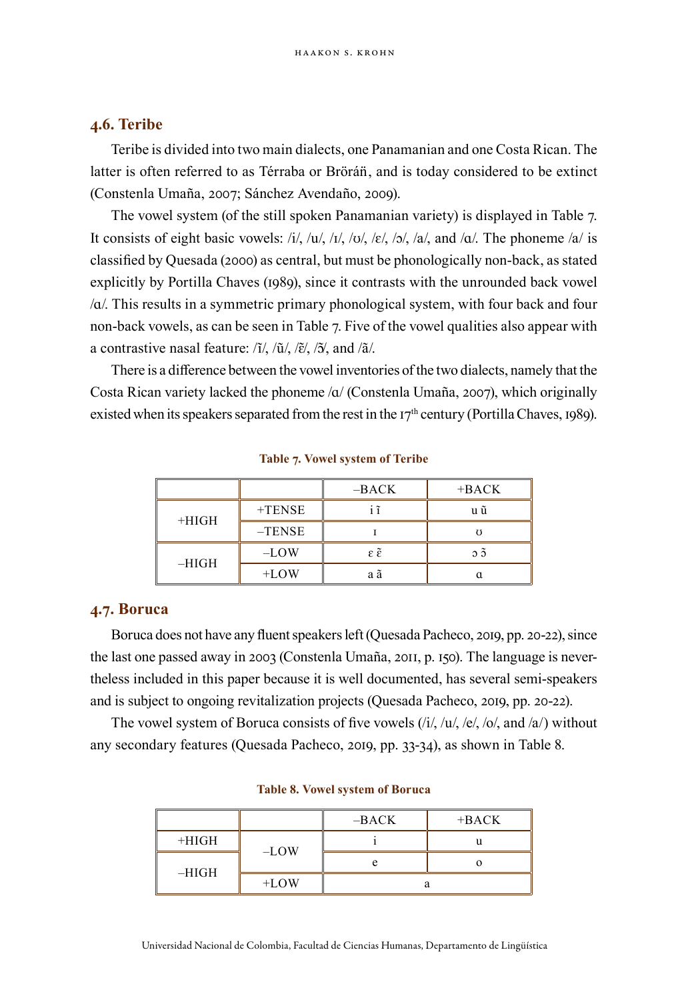## **4.6. Teribe**

Teribe is divided into two main dialects, one Panamanian and one Costa Rican. The latter is often referred to as Térraba or Bröráñ, and is today considered to be extinct (Constenla Umaña, 2007; Sánchez Avendaño, 2009).

The vowel system (of the still spoken Panamanian variety) is displayed in Table 7. It consists of eight basic vowels: /i/, /u/, / $\frac{1}{v}$ , / $\frac{1}{v}$ , / $\frac{1}{v}$ , / $\frac{1}{v}$ , / $\frac{1}{v}$ , / $\frac{1}{v}$ , / $\frac{1}{v}$ , / $\frac{1}{v}$ , and / $\frac{1}{v}$ . The phoneme /a/ is classified by Quesada (2000) as central, but must be phonologically non-back, as stated explicitly by Portilla Chaves (1989), since it contrasts with the unrounded back vowel /ɑ/. This results in a symmetric primary phonological system, with four back and four non-back vowels, as can be seen in Table 7. Five of the vowel qualities also appear with a contrastive nasal feature: / $\tilde{\iota}$ /, / $\tilde{\iota}$ /, / $\tilde{\iota}$ /, / $\tilde{\iota}$ /, and / $\tilde{\iota}$ /.

There is a difference between the vowel inventories of the two dialects, namely that the Costa Rican variety lacked the phoneme /ɑ/ (Constenla Umaña, 2007), which originally existed when its speakers separated from the rest in the  $17<sup>th</sup>$  century (Portilla Chaves, 1989).

|         |          | $-BACK$            | $+$ BACK |
|---------|----------|--------------------|----------|
|         | $+TENSE$ | ۰.                 | u ũ      |
| $+HIGH$ | $-TENSE$ |                    |          |
|         | $-LOW$   | $\tilde{\epsilon}$ | эõ       |
| $-HIGH$ | $+LOW$   | аã                 |          |

**Table 7. Vowel system of Teribe**

### **4.7. Boruca**

Boruca does not have any fluent speakers left (Quesada Pacheco, 2019, pp. 20-22), since the last one passed away in 2003 (Constenla Umaña, 2011, p. 150). The language is nevertheless included in this paper because it is well documented, has several semi-speakers and is subject to ongoing revitalization projects (Quesada Pacheco, 2019, pp. 20-22).

The vowel system of Boruca consists of five vowels  $(i, j, \alpha, \beta)$ ,  $j = \alpha$ ,  $j = \alpha$ ,  $j = \alpha$ ,  $j = \alpha$ ,  $j = \alpha$ ,  $j = \alpha$ ,  $j = \alpha$ ,  $j = \alpha$ ,  $j = \alpha$ ,  $j = \alpha$ ,  $j = \alpha$ ,  $j = \alpha$ ,  $j = \alpha$ ,  $j = \alpha$ ,  $j = \alpha$ ,  $j = \alpha$ ,  $j = \alpha$ ,  $j = \alpha$ ,  $j = \alpha$ ,  $j = \$ any secondary features (Quesada Pacheco, 2019, pp. 33-34), as shown in Table 8.

|         |        | $-BACK$ | $+$ BACK |
|---------|--------|---------|----------|
| $+HIGH$ |        |         |          |
| $-HIGH$ | $-LOW$ |         |          |
|         | $+LOW$ |         | a        |

**Table 8. Vowel system of Boruca**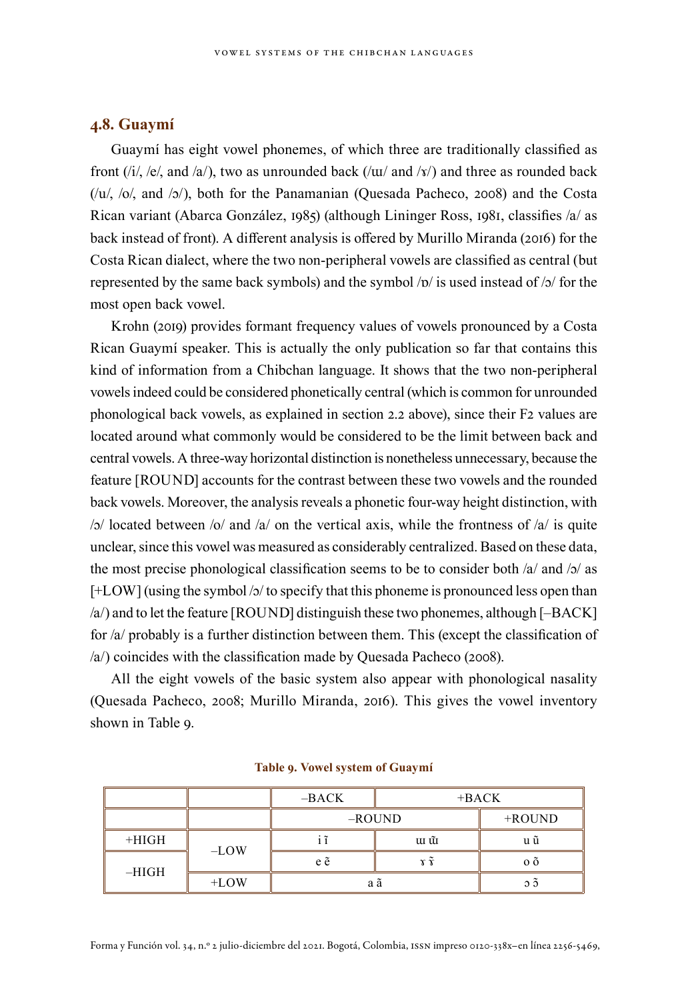#### **4.8. Guaymí**

Guaymí has eight vowel phonemes, of which three are traditionally classified as front (/i/, /e/, and /a/), two as unrounded back (/ $\pi$ / and /x/) and three as rounded back (/u/, /o/, and /ɔ/), both for the Panamanian (Quesada Pacheco, 2008) and the Costa Rican variant (Abarca González, 1985) (although Lininger Ross, 1981, classifies /a/ as back instead of front). A different analysis is offered by Murillo Miranda (2016) for the Costa Rican dialect, where the two non-peripheral vowels are classified as central (but represented by the same back symbols) and the symbol  $\sqrt{p}$  is used instead of  $\sqrt{\frac{p}{q}}$  for the most open back vowel.

Krohn (2019) provides formant frequency values of vowels pronounced by a Costa Rican Guaymí speaker. This is actually the only publication so far that contains this kind of information from a Chibchan language. It shows that the two non-peripheral vowels indeed could be considered phonetically central (which is common for unrounded phonological back vowels, as explained in section 2.2 above), since their F2 values are located around what commonly would be considered to be the limit between back and central vowels. A three-way horizontal distinction is nonetheless unnecessary, because the feature [ROUND] accounts for the contrast between these two vowels and the rounded back vowels. Moreover, the analysis reveals a phonetic four-way height distinction, with  $/2$  located between  $/0$  and  $/2$  on the vertical axis, while the frontness of  $/2$  is quite unclear, since this vowel was measured as considerably centralized. Based on these data, the most precise phonological classification seems to be to consider both  $\alpha$  and  $\beta$  as  $[+LOW]$  (using the symbol /ɔ/ to specify that this phoneme is pronounced less open than /a/) and to let the feature [ROUND] distinguish these two phonemes, although [–BACK] for /a/ probably is a further distinction between them. This (except the classification of /a/) coincides with the classification made by Quesada Pacheco (2008).

All the eight vowels of the basic system also appear with phonological nasality (Quesada Pacheco, 2008; Murillo Miranda, 2016). This gives the vowel inventory shown in Table 9.

|         |         | $-BACK$<br>$+$ BACK |      |           |
|---------|---------|---------------------|------|-----------|
|         |         | $-$ ROUND           |      | $+$ ROUND |
| $+HIGH$ | $-LOW$  | iĩ                  | uı ũ | u ũ       |
| $-HIGH$ |         | e ẽ                 | Υĩ   | o õ       |
|         | $+$ LOW | аã                  |      | эõ        |

#### **Table 9. Vowel system of Guaymí**

Forma y Función vol. 34, n.º 2 julio-diciembre del 2021. Bogotá, Colombia, issn impreso 0120-338x–en línea 2256-5469,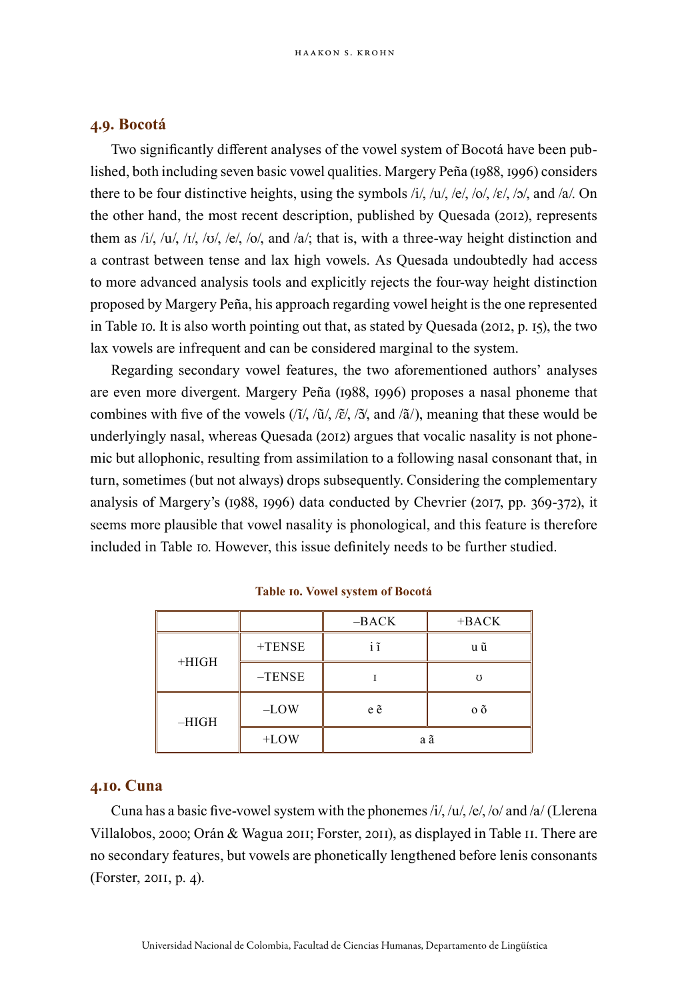## **4.9. Bocotá**

Two significantly different analyses of the vowel system of Bocotá have been published, both including seven basic vowel qualities. Margery Peña (1988, 1996) considers there to be four distinctive heights, using the symbols /i/, /u/, /e/, /o/, /ɛ/, /ɔ/, and /a/. On the other hand, the most recent description, published by Quesada (2012), represents them as /i/, /u/, /ɪ/, /ʊ/, /e/, /o/, and /a/; that is, with a three-way height distinction and a contrast between tense and lax high vowels. As Quesada undoubtedly had access to more advanced analysis tools and explicitly rejects the four-way height distinction proposed by Margery Peña, his approach regarding vowel height is the one represented in Table 10. It is also worth pointing out that, as stated by Quesada (2012, p. 15), the two lax vowels are infrequent and can be considered marginal to the system.

Regarding secondary vowel features, the two aforementioned authors' analyses are even more divergent. Margery Peña (1988, 1996) proposes a nasal phoneme that combines with five of the vowels  $(i\zeta, i\zeta, \zeta, \zeta, \zeta)$ , and  $(i\zeta)$ , meaning that these would be underlyingly nasal, whereas Quesada (2012) argues that vocalic nasality is not phonemic but allophonic, resulting from assimilation to a following nasal consonant that, in turn, sometimes (but not always) drops subsequently. Considering the complementary analysis of Margery's (1988, 1996) data conducted by Chevrier (2017, pp. 369-372), it seems more plausible that vowel nasality is phonological, and this feature is therefore included in Table 10. However, this issue definitely needs to be further studied.

|         |          | $-BACK$ | $+$ BACK     |
|---------|----------|---------|--------------|
| $+HIGH$ | $+TENSE$ | iĩ      | u ũ          |
|         | $-TENSE$ |         | $\mathbf{U}$ |
| $-HIGH$ | $-LOW$   | e ẽ     | 0 õ          |
|         | $+LOW$   |         | аã           |

**Table 10. Vowel system of Bocotá**

#### **4.10. Cuna**

Cuna has a basic five-vowel system with the phonemes /i/, /u/, /e/, /o/ and /a/ (Llerena Villalobos, 2000; Orán & Wagua 2011; Forster, 2011), as displayed in Table 11. There are no secondary features, but vowels are phonetically lengthened before lenis consonants (Forster, 2011, p. 4).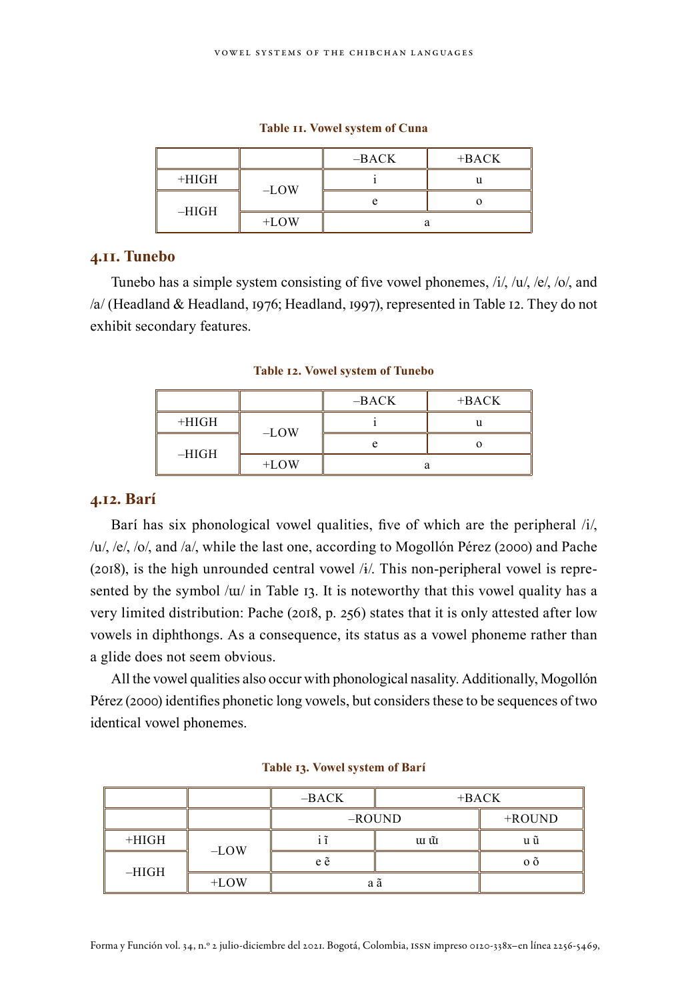|         |        | $-BACK$ | $+$ BACK |
|---------|--------|---------|----------|
| $+HIGH$ |        |         |          |
| $-HIGH$ | $-LOW$ |         |          |
|         | $+LOW$ |         |          |

**Table 11. Vowel system of Cuna**

## **4.11. Tunebo**

Tunebo has a simple system consisting of five vowel phonemes, /i/, /u/, /e/, /o/, and /a/ (Headland & Headland, 1976; Headland, 1997), represented in Table 12. They do not exhibit secondary features.

**Table 12. Vowel system of Tunebo**

|         |         | $-BACK$ | $+$ BACK |
|---------|---------|---------|----------|
| $+HIGH$ | $-LOW$  |         |          |
| $-HIGH$ |         |         |          |
|         | $+$ LOW | u       |          |

## **4.12. Barí**

Barí has six phonological vowel qualities, five of which are the peripheral /i/, /u/, /e/, /o/, and /a/, while the last one, according to Mogollón Pérez (2000) and Pache  $(2018)$ , is the high unrounded central vowel /i/. This non-peripheral vowel is represented by the symbol /w/ in Table 13. It is noteworthy that this vowel quality has a very limited distribution: Pache (2018, p. 256) states that it is only attested after low vowels in diphthongs. As a consequence, its status as a vowel phoneme rather than a glide does not seem obvious.

All the vowel qualities also occur with phonological nasality. Additionally, Mogollón Pérez (2000) identifies phonetic long vowels, but considers these to be sequences of two identical vowel phonemes.

|         |         | $-BACK$        |      | $+$ BACK  |
|---------|---------|----------------|------|-----------|
|         |         | $-$ ROUND      |      | $+$ ROUND |
| $+HIGH$ | $-LOW$  | $\cdot$ $\sim$ | uı ũ | u ũ       |
| –HIGH   |         | e ẽ            |      | o õ       |
|         | $+$ LOW | аã             |      |           |

#### **Table 13. Vowel system of Barí**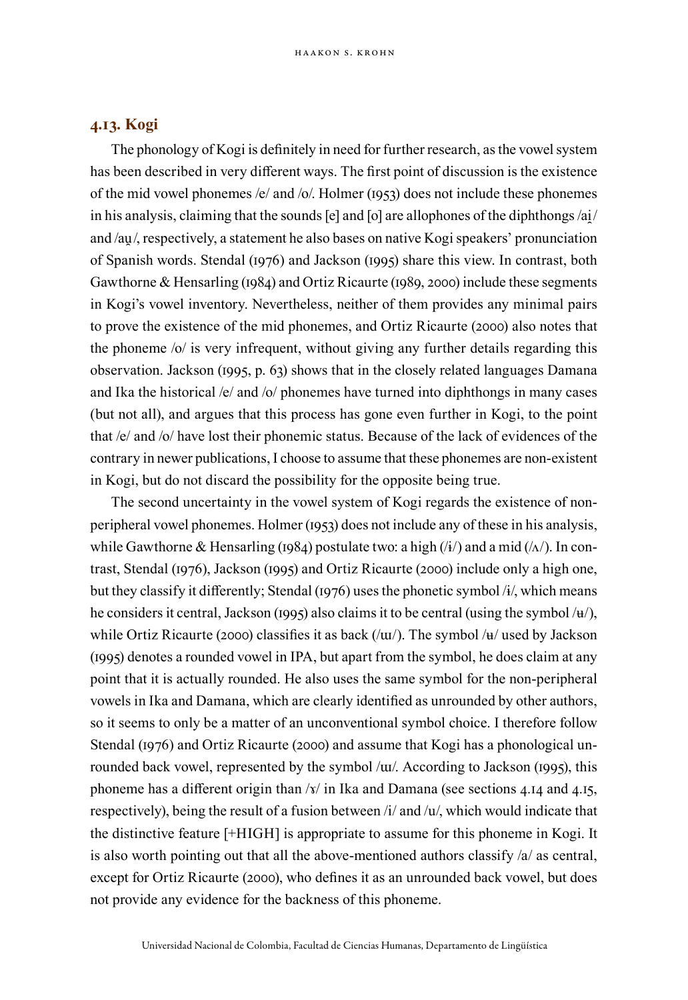## **4.13. Kogi**

The phonology of Kogi is definitely in need for further research, as the vowel system has been described in very different ways. The first point of discussion is the existence of the mid vowel phonemes /e/ and /o/. Holmer (1953) does not include these phonemes in his analysis, claiming that the sounds [e] and [o] are allophones of the diphthongs /ai̯/ and /au/, respectively, a statement he also bases on native Kogi speakers' pronunciation of Spanish words. Stendal (1976) and Jackson (1995) share this view. In contrast, both Gawthorne & Hensarling (1984) and Ortiz Ricaurte (1989, 2000) include these segments in Kogi's vowel inventory. Nevertheless, neither of them provides any minimal pairs to prove the existence of the mid phonemes, and Ortiz Ricaurte (2000) also notes that the phoneme /o/ is very infrequent, without giving any further details regarding this observation. Jackson (1995, p. 63) shows that in the closely related languages Damana and Ika the historical /e/ and /o/ phonemes have turned into diphthongs in many cases (but not all), and argues that this process has gone even further in Kogi, to the point that /e/ and /o/ have lost their phonemic status. Because of the lack of evidences of the contrary in newer publications, I choose to assume that these phonemes are non-existent in Kogi, but do not discard the possibility for the opposite being true.

The second uncertainty in the vowel system of Kogi regards the existence of nonperipheral vowel phonemes. Holmer (1953) does not include any of these in his analysis, while Gawthorne & Hensarling (1984) postulate two: a high  $(i)$  and a mid  $(i)$ . In contrast, Stendal (1976), Jackson (1995) and Ortiz Ricaurte (2000) include only a high one, but they classify it differently; Stendal (1976) uses the phonetic symbol /ɨ/, which means he considers it central, Jackson (1995) also claims it to be central (using the symbol /ʉ/), while Ortiz Ricaurte (2000) classifies it as back  $/(u)/$ . The symbol / $+$ / used by Jackson (1995) denotes a rounded vowel in IPA, but apart from the symbol, he does claim at any point that it is actually rounded. He also uses the same symbol for the non-peripheral vowels in Ika and Damana, which are clearly identified as unrounded by other authors, so it seems to only be a matter of an unconventional symbol choice. I therefore follow Stendal (1976) and Ortiz Ricaurte (2000) and assume that Kogi has a phonological unrounded back vowel, represented by the symbol /ɯ/. According to Jackson (1995), this phoneme has a different origin than  $\sqrt{x}$  in Ika and Damana (see sections 4.14 and 4.15, respectively), being the result of a fusion between /i/ and /u/, which would indicate that the distinctive feature [+HIGH] is appropriate to assume for this phoneme in Kogi. It is also worth pointing out that all the above-mentioned authors classify /a/ as central, except for Ortiz Ricaurte (2000), who defines it as an unrounded back vowel, but does not provide any evidence for the backness of this phoneme.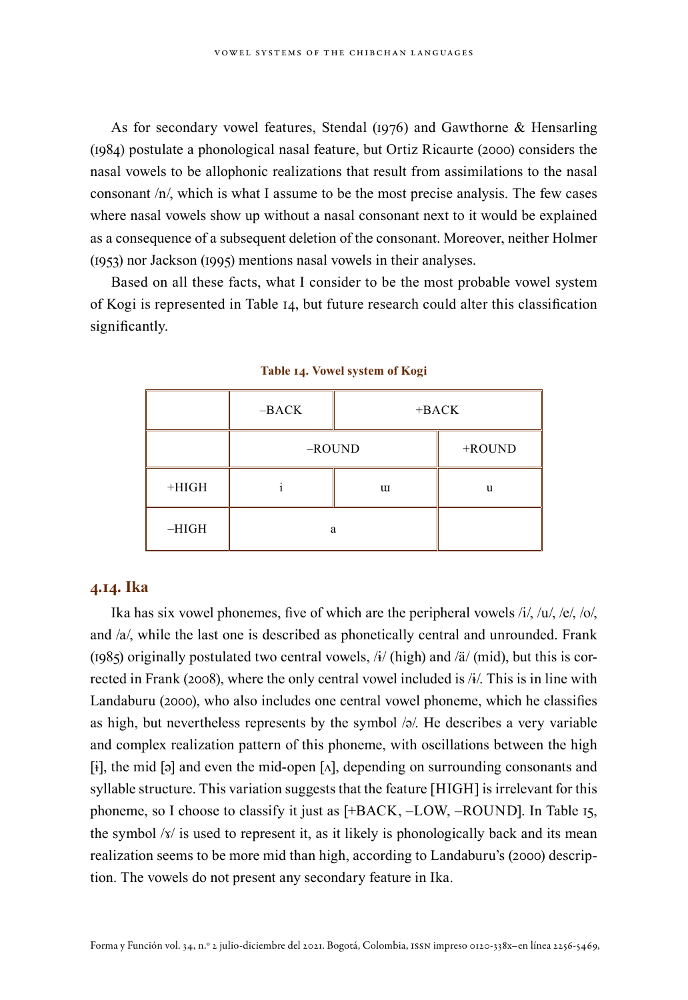As for secondary vowel features, Stendal (1976) and Gawthorne & Hensarling (1984) postulate a phonological nasal feature, but Ortiz Ricaurte (2000) considers the nasal vowels to be allophonic realizations that result from assimilations to the nasal consonant /n/, which is what I assume to be the most precise analysis. The few cases where nasal vowels show up without a nasal consonant next to it would be explained as a consequence of a subsequent deletion of the consonant. Moreover, neither Holmer (1953) nor Jackson (1995) mentions nasal vowels in their analyses.

Based on all these facts, what I consider to be the most probable vowel system of Kogi is represented in Table 14, but future research could alter this classification significantly.

|         | $-BACK$   |  | $+$ BACK  |
|---------|-----------|--|-----------|
|         | $-$ ROUND |  | $+$ ROUND |
| $+HIGH$ | u         |  | п         |
| $-HIGH$ | a         |  |           |

**Table 14. Vowel system of Kogi**

### **4.14. Ika**

Ika has six vowel phonemes, five of which are the peripheral vowels  $/i/$ ,  $/u/$ ,  $/e/$ ,  $/o/$ , and /a/, while the last one is described as phonetically central and unrounded. Frank (1985) originally postulated two central vowels, /ɨ/ (high) and /ä/ (mid), but this is corrected in Frank (2008), where the only central vowel included is /ɨ/. This is in line with Landaburu (2000), who also includes one central vowel phoneme, which he classifies as high, but nevertheless represents by the symbol /ə/. He describes a very variable and complex realization pattern of this phoneme, with oscillations between the high [i], the mid [ə] and even the mid-open  $[\lambda]$ , depending on surrounding consonants and syllable structure. This variation suggests that the feature [HIGH] is irrelevant for this phoneme, so I choose to classify it just as [+BACK, –LOW, –ROUND]. In Table 15, the symbol  $\sqrt{x}$  is used to represent it, as it likely is phonologically back and its mean realization seems to be more mid than high, according to Landaburu's (2000) description. The vowels do not present any secondary feature in Ika.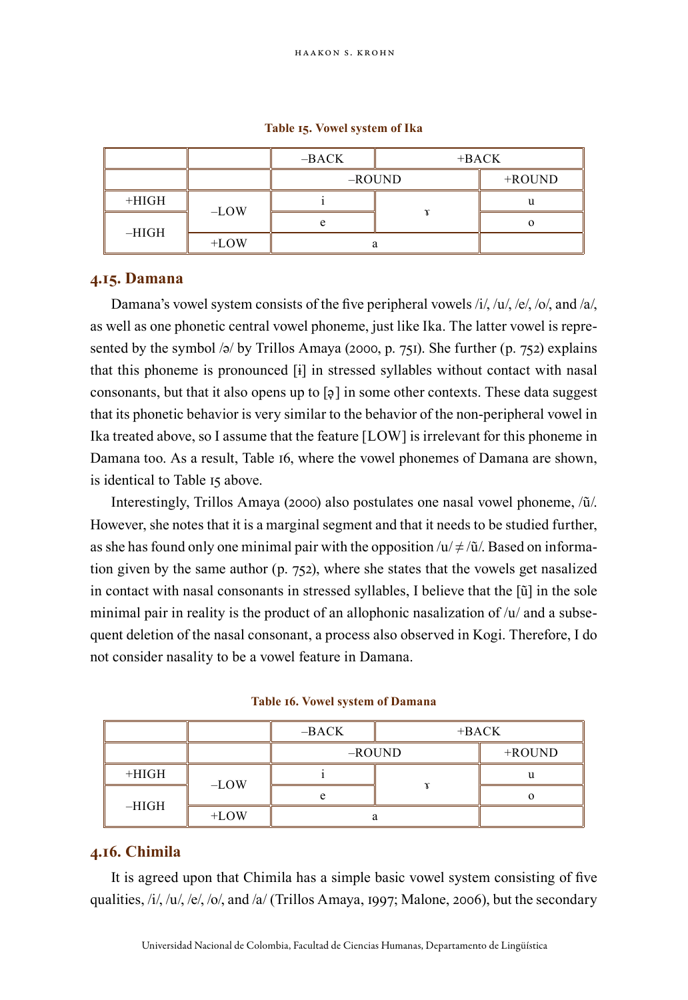|  |  |  | Table 15. Vowel system of Ika |  |
|--|--|--|-------------------------------|--|
|--|--|--|-------------------------------|--|

|         |        | $-BACK$   |  | $+$ BACK  |
|---------|--------|-----------|--|-----------|
|         |        | $-$ ROUND |  | $+$ ROUND |
| $+HIGH$ | $-LOW$ |           |  |           |
|         |        |           |  | 0         |
| $-HIGH$ | $+LOW$ |           |  |           |

#### **4.15. Damana**

Damana's vowel system consists of the five peripheral vowels /i/, /u/, /e/, /o/, and /a/, as well as one phonetic central vowel phoneme, just like Ika. The latter vowel is represented by the symbol  $\sqrt{2}$  by Trillos Amaya (2000, p. 751). She further (p. 752) explains that this phoneme is pronounced [ɨ] in stressed syllables without contact with nasal consonants, but that it also opens up to  $\lceil \frac{1}{2} \rceil$  in some other contexts. These data suggest that its phonetic behavior is very similar to the behavior of the non-peripheral vowel in Ika treated above, so I assume that the feature [LOW] is irrelevant for this phoneme in Damana too. As a result, Table 16, where the vowel phonemes of Damana are shown, is identical to Table 15 above.

Interestingly, Trillos Amaya (2000) also postulates one nasal vowel phoneme, /ũ/. However, she notes that it is a marginal segment and that it needs to be studied further, as she has found only one minimal pair with the opposition  $/u \neq \tilde{u}$ . Based on information given by the same author (p. 752), where she states that the vowels get nasalized in contact with nasal consonants in stressed syllables, I believe that the [ũ] in the sole minimal pair in reality is the product of an allophonic nasalization of  $/u'$  and a subsequent deletion of the nasal consonant, a process also observed in Kogi. Therefore, I do not consider nasality to be a vowel feature in Damana.

|         |        | $-BACK$   | $+$ BACK |           |
|---------|--------|-----------|----------|-----------|
|         |        | $-$ ROUND |          | $+$ ROUND |
| $+HIGH$ | $-LOW$ |           |          |           |
| $-HIGH$ |        |           |          |           |
|         | $+LOW$ |           |          |           |

| Table 16. Vowel system of Damana |  |  |  |  |
|----------------------------------|--|--|--|--|
|----------------------------------|--|--|--|--|

#### **4.16. Chimila**

It is agreed upon that Chimila has a simple basic vowel system consisting of five qualities, /i/, /u/, /e/, /o/, and /a/ (Trillos Amaya, 1997; Malone, 2006), but the secondary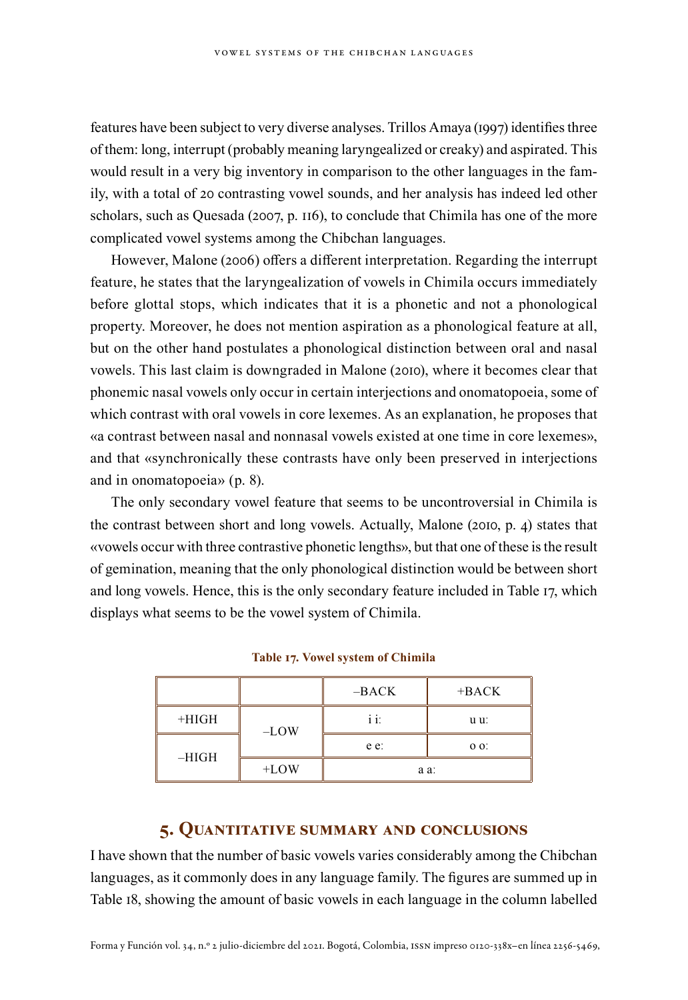features have been subject to very diverse analyses. Trillos Amaya (1997) identifies three of them: long, interrupt (probably meaning laryngealized or creaky) and aspirated. This would result in a very big inventory in comparison to the other languages in the family, with a total of 20 contrasting vowel sounds, and her analysis has indeed led other scholars, such as Quesada (2007, p. 116), to conclude that Chimila has one of the more complicated vowel systems among the Chibchan languages.

However, Malone (2006) offers a different interpretation. Regarding the interrupt feature, he states that the laryngealization of vowels in Chimila occurs immediately before glottal stops, which indicates that it is a phonetic and not a phonological property. Moreover, he does not mention aspiration as a phonological feature at all, but on the other hand postulates a phonological distinction between oral and nasal vowels. This last claim is downgraded in Malone (2010), where it becomes clear that phonemic nasal vowels only occur in certain interjections and onomatopoeia, some of which contrast with oral vowels in core lexemes. As an explanation, he proposes that «a contrast between nasal and nonnasal vowels existed at one time in core lexemes», and that «synchronically these contrasts have only been preserved in interjections and in onomatopoeia» (p. 8).

The only secondary vowel feature that seems to be uncontroversial in Chimila is the contrast between short and long vowels. Actually, Malone (2010, p. 4) states that «vowels occur with three contrastive phonetic lengths», but that one of these is the result of gemination, meaning that the only phonological distinction would be between short and long vowels. Hence, this is the only secondary feature included in Table 17, which displays what seems to be the vowel system of Chimila.

|         |        | $-BACK$   | $+$ BACK |
|---------|--------|-----------|----------|
| $+HIGH$ | $-LOW$ | . .<br>11 | u u:     |
|         |        | e e:      | $O O$ .  |
| $-HIGH$ | $+LOW$ | a a:      |          |

**Table 17. Vowel system of Chimila**

## **5. Quantitative summary and conclusions**

I have shown that the number of basic vowels varies considerably among the Chibchan languages, as it commonly does in any language family. The figures are summed up in Table 18, showing the amount of basic vowels in each language in the column labelled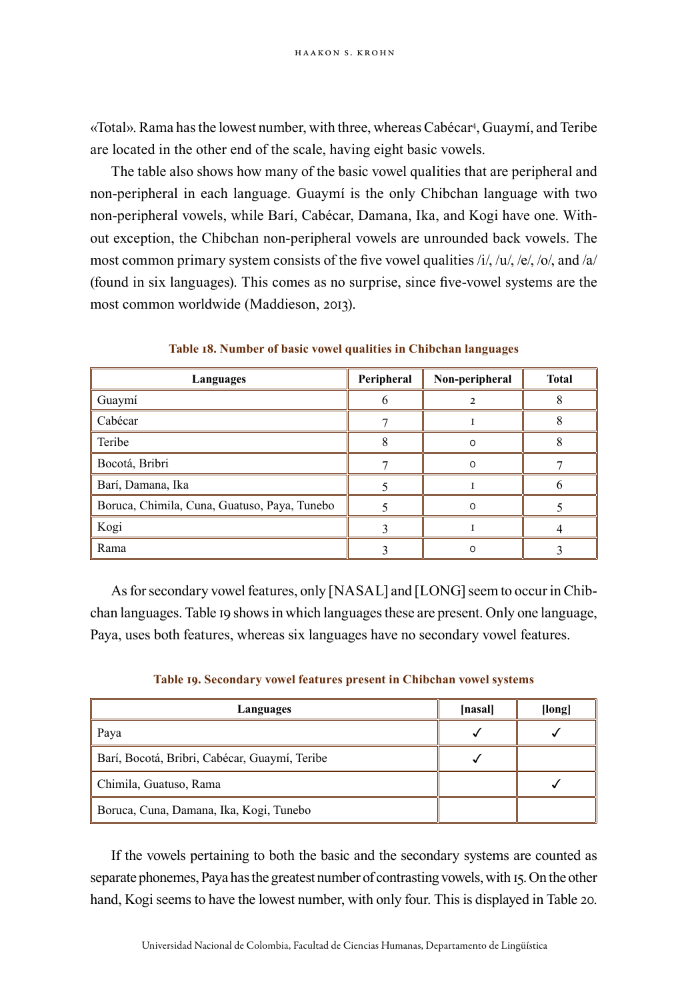«Total». Rama has the lowest number, with three, whereas Cabécar4 , Guaymí, and Teribe are located in the other end of the scale, having eight basic vowels.

The table also shows how many of the basic vowel qualities that are peripheral and non-peripheral in each language. Guaymí is the only Chibchan language with two non-peripheral vowels, while Barí, Cabécar, Damana, Ika, and Kogi have one. Without exception, the Chibchan non-peripheral vowels are unrounded back vowels. The most common primary system consists of the five vowel qualities /i/, /u/, /e/, /o/, and /a/ (found in six languages). This comes as no surprise, since five-vowel systems are the most common worldwide (Maddieson, 2013).

| Languages                                    | Peripheral | Non-peripheral | <b>Total</b> |
|----------------------------------------------|------------|----------------|--------------|
| Guaymí                                       |            |                |              |
| Cabécar                                      |            |                |              |
| Teribe                                       |            | $\Omega$       |              |
| Bocotá, Bribri                               |            | $\Omega$       |              |
| Barí, Damana, Ika                            |            |                |              |
| Boruca, Chimila, Cuna, Guatuso, Paya, Tunebo |            |                |              |
| Kogi                                         |            |                |              |
| Rama                                         |            | Ω              |              |

**Table 18. Number of basic vowel qualities in Chibchan languages**

As for secondary vowel features, only [NASAL] and [LONG] seem to occur in Chibchan languages. Table 19 shows in which languages these are present. Only one language, Paya, uses both features, whereas six languages have no secondary vowel features.

| Languages                                     | [nasal] | [long] |
|-----------------------------------------------|---------|--------|
| Paya                                          |         |        |
| Barí, Bocotá, Bribri, Cabécar, Guaymí, Teribe |         |        |
| Chimila, Guatuso, Rama                        |         |        |
| Boruca, Cuna, Damana, Ika, Kogi, Tunebo       |         |        |

**Table 19. Secondary vowel features present in Chibchan vowel systems**

If the vowels pertaining to both the basic and the secondary systems are counted as separate phonemes, Paya has the greatest number of contrasting vowels, with 15. On the other hand, Kogi seems to have the lowest number, with only four. This is displayed in Table 20.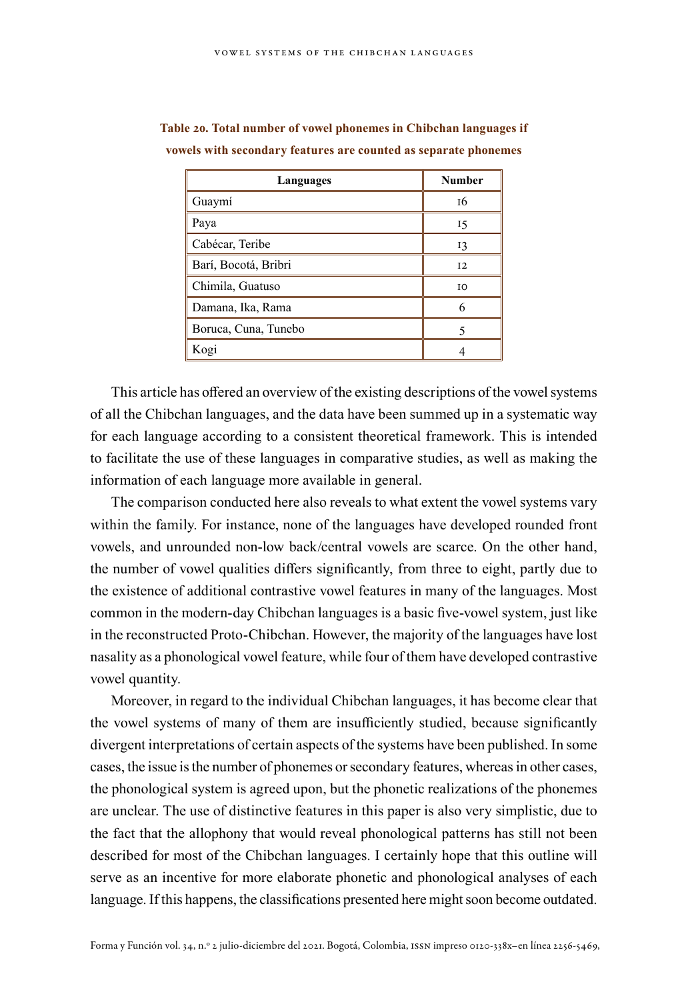| Languages            | <b>Number</b> |
|----------------------|---------------|
| Guaymí               | 16            |
| Paya                 | 15            |
| Cabécar, Teribe      | 13            |
| Barí, Bocotá, Bribri | 12            |
| Chimila, Guatuso     | <b>TO</b>     |
| Damana, Ika, Rama    | 6             |
| Boruca, Cuna, Tunebo |               |
| Kogi                 |               |

**Table 20. Total number of vowel phonemes in Chibchan languages if vowels with secondary features are counted as separate phonemes**

This article has offered an overview of the existing descriptions of the vowel systems of all the Chibchan languages, and the data have been summed up in a systematic way for each language according to a consistent theoretical framework. This is intended to facilitate the use of these languages in comparative studies, as well as making the information of each language more available in general.

The comparison conducted here also reveals to what extent the vowel systems vary within the family. For instance, none of the languages have developed rounded front vowels, and unrounded non-low back/central vowels are scarce. On the other hand, the number of vowel qualities differs significantly, from three to eight, partly due to the existence of additional contrastive vowel features in many of the languages. Most common in the modern-day Chibchan languages is a basic five-vowel system, just like in the reconstructed Proto-Chibchan. However, the majority of the languages have lost nasality as a phonological vowel feature, while four of them have developed contrastive vowel quantity.

Moreover, in regard to the individual Chibchan languages, it has become clear that the vowel systems of many of them are insufficiently studied, because significantly divergent interpretations of certain aspects of the systems have been published. In some cases, the issue is the number of phonemes or secondary features, whereas in other cases, the phonological system is agreed upon, but the phonetic realizations of the phonemes are unclear. The use of distinctive features in this paper is also very simplistic, due to the fact that the allophony that would reveal phonological patterns has still not been described for most of the Chibchan languages. I certainly hope that this outline will serve as an incentive for more elaborate phonetic and phonological analyses of each language. If this happens, the classifications presented here might soon become outdated.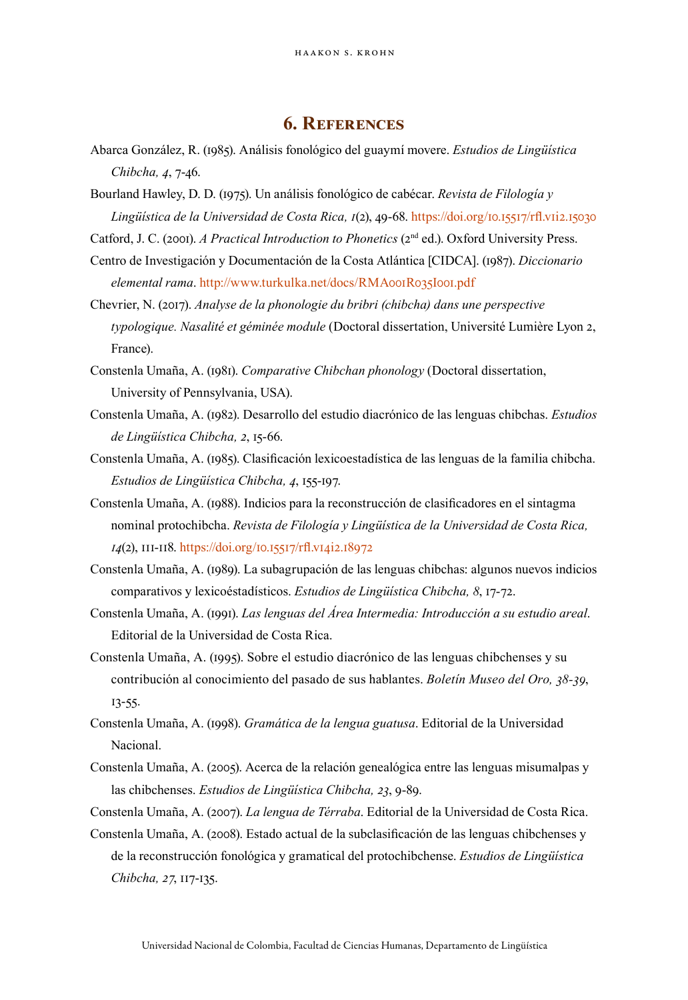## **6. References**

- Abarca González, R. (1985). Análisis fonológico del guaymí movere. *Estudios de Lingüística Chibcha, 4*, 7-46.
- Bourland Hawley, D. D. (1975). Un análisis fonológico de cabécar. *Revista de Filología y Lingüística de la Universidad de Costa Rica, 1*(2), 49-68. <https://doi.org/10.15517/rfl.v1i2.15030>

Catford, J. C. (2001). *A Practical Introduction to Phonetics* (2nd ed.). Oxford University Press.

- Centro de Investigación y Documentación de la Costa Atlántica [CIDCA]. (1987). *Diccionario elemental rama*. <http://www.turkulka.net/docs/RMA001R035I001.pdf>
- Chevrier, N. (2017). *Analyse de la phonologie du bribri (chibcha) dans une perspective typologique. Nasalité et géminée module* (Doctoral dissertation, Université Lumière Lyon 2, France).
- Constenla Umaña, A. (1981). *Comparative Chibchan phonology* (Doctoral dissertation, University of Pennsylvania, USA).
- Constenla Umaña, A. (1982). Desarrollo del estudio diacrónico de las lenguas chibchas. *Estudios de Lingüística Chibcha, 2*, 15-66.
- Constenla Umaña, A. (1985). Clasificación lexicoestadística de las lenguas de la familia chibcha. *Estudios de Lingüística Chibcha, 4*, 155-197.
- Constenla Umaña, A. (1988). Indicios para la reconstrucción de clasificadores en el sintagma nominal protochibcha. *Revista de Filología y Lingüística de la Universidad de Costa Rica, 14*(2), 111-118.<https://doi.org/10.15517/rfl.v14i2.18972>
- Constenla Umaña, A. (1989). La subagrupación de las lenguas chibchas: algunos nuevos indicios comparativos y lexicoéstadísticos. *Estudios de Lingüística Chibcha, 8*, 17-72.
- Constenla Umaña, A. (1991). *Las lenguas del Área Intermedia: Introducción a su estudio areal*. Editorial de la Universidad de Costa Rica.
- Constenla Umaña, A. (1995). Sobre el estudio diacrónico de las lenguas chibchenses y su contribución al conocimiento del pasado de sus hablantes. *Boletín Museo del Oro, 38-39*, 13-55.
- Constenla Umaña, A. (1998). *Gramática de la lengua guatusa*. Editorial de la Universidad Nacional.
- Constenla Umaña, A. (2005). Acerca de la relación genealógica entre las lenguas misumalpas y las chibchenses. *Estudios de Lingüística Chibcha, 23*, 9-89.
- Constenla Umaña, A. (2007). *La lengua de Térraba*. Editorial de la Universidad de Costa Rica.
- Constenla Umaña, A. (2008). Estado actual de la subclasificación de las lenguas chibchenses y de la reconstrucción fonológica y gramatical del protochibchense. *Estudios de Lingüística Chibcha, 27*, 117-135.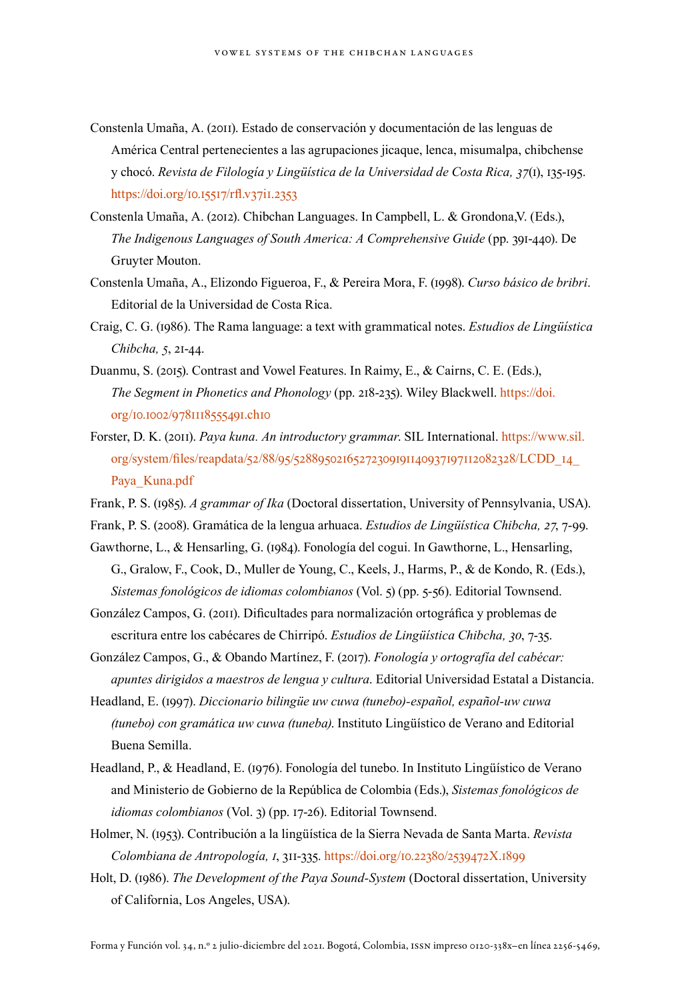- Constenla Umaña, A. (2011). Estado de conservación y documentación de las lenguas de América Central pertenecientes a las agrupaciones jicaque, lenca, misumalpa, chibchense y chocó. *Revista de Filología y Lingüística de la Universidad de Costa Rica, 37*(1), 135-195. <https://doi.org/10.15517/rfl.v37i1.2353>
- Constenla Umaña, A. (2012). Chibchan Languages. In Campbell, L. & Grondona,V. (Eds.), *The Indigenous Languages of South America: A Comprehensive Guide* (pp. 391-440). De Gruyter Mouton.
- Constenla Umaña, A., Elizondo Figueroa, F., & Pereira Mora, F. (1998). *Curso básico de bribri*. Editorial de la Universidad de Costa Rica.
- Craig, C. G. (1986). The Rama language: a text with grammatical notes. *Estudios de Lingüística Chibcha, 5*, 21-44.
- Duanmu, S. (2015). Contrast and Vowel Features. In Raimy, E., & Cairns, C. E. (Eds.), *The Segment in Phonetics and Phonology* (pp. 218-235). Wiley Blackwell. [https://doi.](https://doi.org/10.1002/9781118555491.ch10) [org/10.1002/9781118555491.ch10](https://doi.org/10.1002/9781118555491.ch10)
- Forster, D. K. (2011). *Paya kuna. An introductory grammar*. SIL International. [https://www.sil.](https://www.sil.org/system/files/reapdata/52/88/95/52889502165272309191140937197112082328/LCDD_14_Paya_Kuna.pdf) [org/system/files/reapdata/52/88/95/52889502165272309191140937197112082328/LCDD\\_14\\_](https://www.sil.org/system/files/reapdata/52/88/95/52889502165272309191140937197112082328/LCDD_14_Paya_Kuna.pdf) [Paya\\_Kuna.pdf](https://www.sil.org/system/files/reapdata/52/88/95/52889502165272309191140937197112082328/LCDD_14_Paya_Kuna.pdf)
- Frank, P. S. (1985). *A grammar of Ika* (Doctoral dissertation, University of Pennsylvania, USA).
- Frank, P. S. (2008). Gramática de la lengua arhuaca. *Estudios de Lingüística Chibcha, 27*, 7-99.
- Gawthorne, L., & Hensarling, G. (1984). Fonología del cogui. In Gawthorne, L., Hensarling, G., Gralow, F., Cook, D., Muller de Young, C., Keels, J., Harms, P., & de Kondo, R. (Eds.), *Sistemas fonológicos de idiomas colombianos* (Vol. 5) (pp. 5-56). Editorial Townsend.
- González Campos, G. (2011). Dificultades para normalización ortográfica y problemas de escritura entre los cabécares de Chirripó. *Estudios de Lingüística Chibcha, 30*, 7-35.
- González Campos, G., & Obando Martínez, F. (2017). *Fonología y ortografía del cabécar: apuntes dirigidos a maestros de lengua y cultura*. Editorial Universidad Estatal a Distancia.
- Headland, E. (1997). *Diccionario bilingüe uw cuwa (tunebo)-español, español-uw cuwa (tunebo) con gramática uw cuwa (tuneba)*. Instituto Lingüístico de Verano and Editorial Buena Semilla.
- Headland, P., & Headland, E. (1976). Fonología del tunebo. In Instituto Lingüístico de Verano and Ministerio de Gobierno de la República de Colombia (Eds.), *Sistemas fonológicos de idiomas colombianos* (Vol. 3) (pp. 17-26). Editorial Townsend.
- Holmer, N. (1953). Contribución a la lingüística de la Sierra Nevada de Santa Marta. *Revista Colombiana de Antropología, 1*, 311-335. <https://doi.org/10.22380/2539472X.1899>
- Holt, D. (1986). *The Development of the Paya Sound-System* (Doctoral dissertation, University of California, Los Angeles, USA).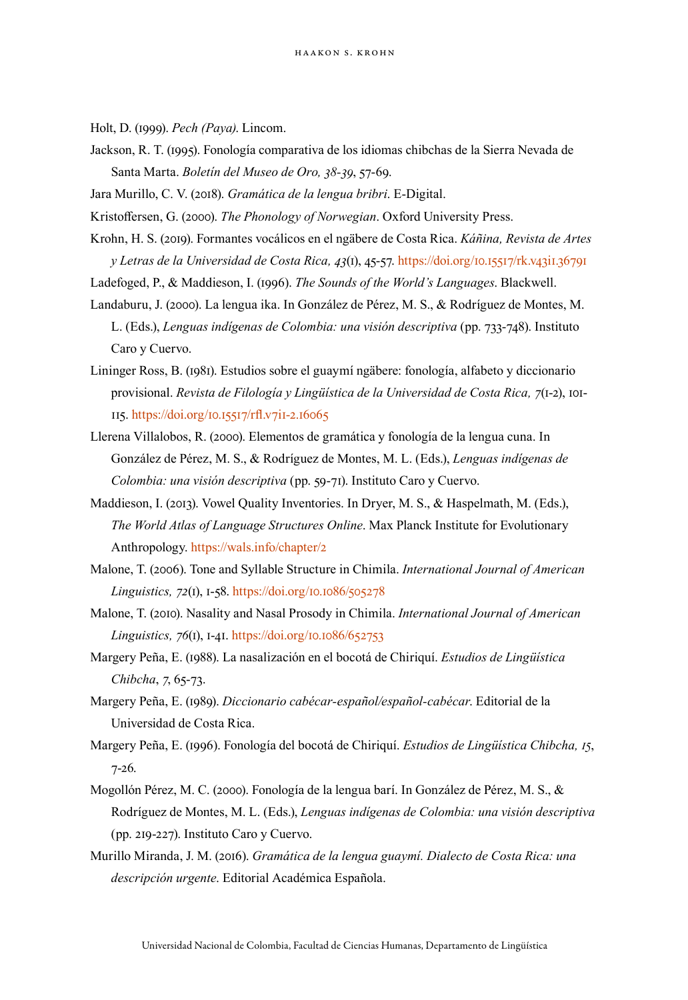Holt, D. (1999). *Pech (Paya)*. Lincom.

- Jackson, R. T. (1995). Fonología comparativa de los idiomas chibchas de la Sierra Nevada de Santa Marta. *Boletín del Museo de Oro, 38-39*, 57-69.
- Jara Murillo, C. V. (2018). *Gramática de la lengua bribri*. E-Digital.

Kristoffersen, G. (2000). *The Phonology of Norwegian*. Oxford University Press.

- Krohn, H. S. (2019). Formantes vocálicos en el ngäbere de Costa Rica. *Káñina, Revista de Artes y Letras de la Universidad de Costa Rica, 43*(1), 45-57. <https://doi.org/10.15517/rk.v43i1.36791>
- Ladefoged, P., & Maddieson, I. (1996). *The Sounds of the World's Languages*. Blackwell.
- Landaburu, J. (2000). La lengua ika. In González de Pérez, M. S., & Rodríguez de Montes, M. L. (Eds.), *Lenguas indígenas de Colombia: una visión descriptiva* (pp. 733-748). Instituto Caro y Cuervo.
- Lininger Ross, B. (1981). Estudios sobre el guaymí ngäbere: fonología, alfabeto y diccionario provisional. *Revista de Filología y Lingüística de la Universidad de Costa Rica, 7*(1-2), 101- 115. <https://doi.org/10.15517/rfl.v7i1-2.16065>
- Llerena Villalobos, R. (2000). Elementos de gramática y fonología de la lengua cuna. In González de Pérez, M. S., & Rodríguez de Montes, M. L. (Eds.), *Lenguas indígenas de Colombia: una visión descriptiva* (pp. 59-71). Instituto Caro y Cuervo.
- Maddieson, I. (2013). Vowel Quality Inventories. In Dryer, M. S., & Haspelmath, M. (Eds.), *The World Atlas of Language Structures Online*. Max Planck Institute for Evolutionary Anthropology. <https://wals.info/chapter/2>
- Malone, T. (2006). Tone and Syllable Structure in Chimila. *International Journal of American Linguistics, 72*(1), 1-58.<https://doi.org/10.1086/505278>
- Malone, T. (2010). Nasality and Nasal Prosody in Chimila. *International Journal of American Linguistics, 76*(1), 1-41. <https://doi.org/10.1086/652753>
- Margery Peña, E. (1988). La nasalización en el bocotá de Chiriquí. *Estudios de Lingüística Chibcha*, *7*, 65-73.
- Margery Peña, E. (1989). *Diccionario cabécar-español/español-cabécar*. Editorial de la Universidad de Costa Rica.
- Margery Peña, E. (1996). Fonología del bocotá de Chiriquí. *Estudios de Lingüística Chibcha, 15*, 7-26.
- Mogollón Pérez, M. C. (2000). Fonología de la lengua barí. In González de Pérez, M. S., & Rodríguez de Montes, M. L. (Eds.), *Lenguas indígenas de Colombia: una visión descriptiva* (pp. 219-227). Instituto Caro y Cuervo.
- Murillo Miranda, J. M. (2016). *Gramática de la lengua guaymí. Dialecto de Costa Rica: una descripción urgente*. Editorial Académica Española.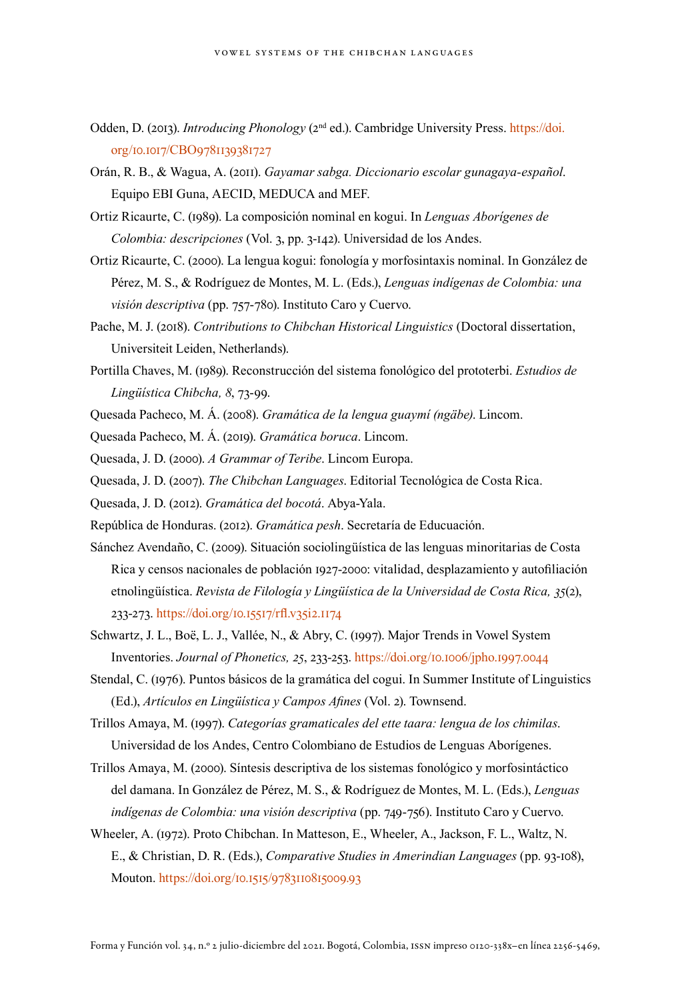- Odden, D. (2013). *Introducing Phonology* (2nd ed.). Cambridge University Press. [https://doi.](https://doi.org/10.1017/CBO9781139381727) [org/10.1017/CBO9781139381727](https://doi.org/10.1017/CBO9781139381727)
- Orán, R. B., & Wagua, A. (2011). *Gayamar sabga. Diccionario escolar gunagaya-español*. Equipo EBI Guna, AECID, MEDUCA and MEF.
- Ortiz Ricaurte, C. (1989). La composición nominal en kogui. In *Lenguas Aborígenes de Colombia: descripciones* (Vol. 3, pp. 3-142). Universidad de los Andes.
- Ortiz Ricaurte, C. (2000). La lengua kogui: fonología y morfosintaxis nominal. In González de Pérez, M. S., & Rodríguez de Montes, M. L. (Eds.), *Lenguas indígenas de Colombia: una visión descriptiva* (pp. 757-780). Instituto Caro y Cuervo.
- Pache, M. J. (2018). *Contributions to Chibchan Historical Linguistics* (Doctoral dissertation, Universiteit Leiden, Netherlands).
- Portilla Chaves, M. (1989). Reconstrucción del sistema fonológico del prototerbi. *Estudios de Lingüística Chibcha, 8*, 73-99.
- Quesada Pacheco, M. Á. (2008). *Gramática de la lengua guaymí (ngäbe)*. Lincom.
- Quesada Pacheco, M. Á. (2019). *Gramática boruca*. Lincom.
- Quesada, J. D. (2000). *A Grammar of Teribe*. Lincom Europa.
- Quesada, J. D. (2007). *The Chibchan Languages*. Editorial Tecnológica de Costa Rica.
- Quesada, J. D. (2012). *Gramática del bocotá*. Abya-Yala.
- República de Honduras. (2012). *Gramática pesh*. Secretaría de Educuación.
- Sánchez Avendaño, C. (2009). Situación sociolingüística de las lenguas minoritarias de Costa Rica y censos nacionales de población 1927-2000: vitalidad, desplazamiento y autofiliación etnolingüística. *Revista de Filología y Lingüística de la Universidad de Costa Rica, 35*(2), 233-273.<https://doi.org/10.15517/rfl.v35i2.1174>
- Schwartz, J. L., Boë, L. J., Vallée, N., & Abry, C. (1997). Major Trends in Vowel System Inventories. *Journal of Phonetics, 25*, 233-253.<https://doi.org/10.1006/jpho.1997.0044>
- Stendal, C. (1976). Puntos básicos de la gramática del cogui. In Summer Institute of Linguistics (Ed.), *Artículos en Lingüística y Campos Afines* (Vol. 2). Townsend.

Trillos Amaya, M. (1997). *Categorías gramaticales del ette taara: lengua de los chimilas*. Universidad de los Andes, Centro Colombiano de Estudios de Lenguas Aborígenes.

Trillos Amaya, M. (2000). Síntesis descriptiva de los sistemas fonológico y morfosintáctico del damana. In González de Pérez, M. S., & Rodríguez de Montes, M. L. (Eds.), *Lenguas indígenas de Colombia: una visión descriptiva* (pp. 749-756). Instituto Caro y Cuervo.

Wheeler, A. (1972). Proto Chibchan. In Matteson, E., Wheeler, A., Jackson, F. L., Waltz, N. E., & Christian, D. R. (Eds.), *Comparative Studies in Amerindian Languages* (pp. 93-108), Mouton.<https://doi.org/10.1515/9783110815009.93>